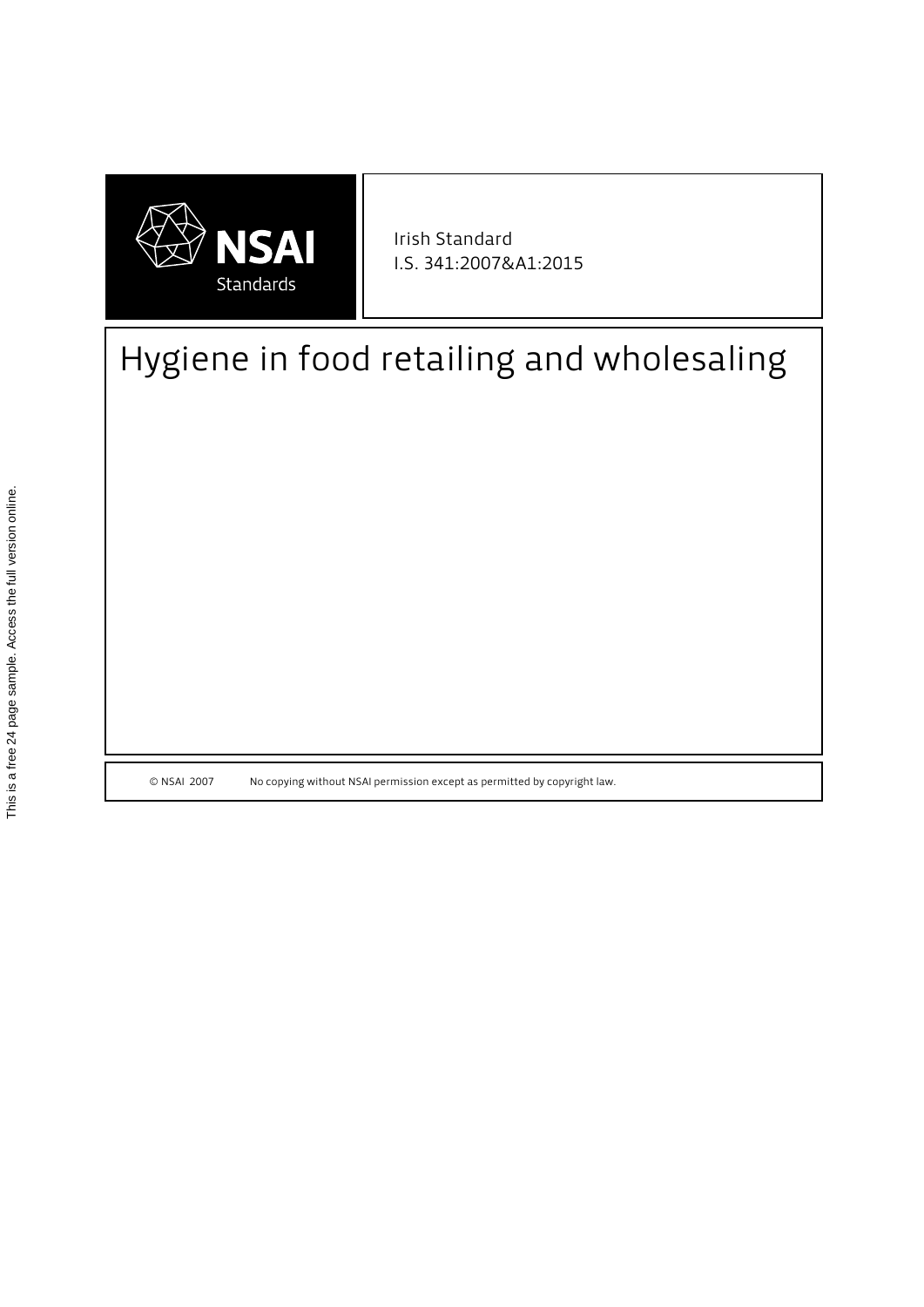

I.S. 341:2007&A1:2015 Irish Standard

# Hygiene in food retailing and wholesaling

© NSAI 2007 No copying without NSAI permission except as permitted by copyright law.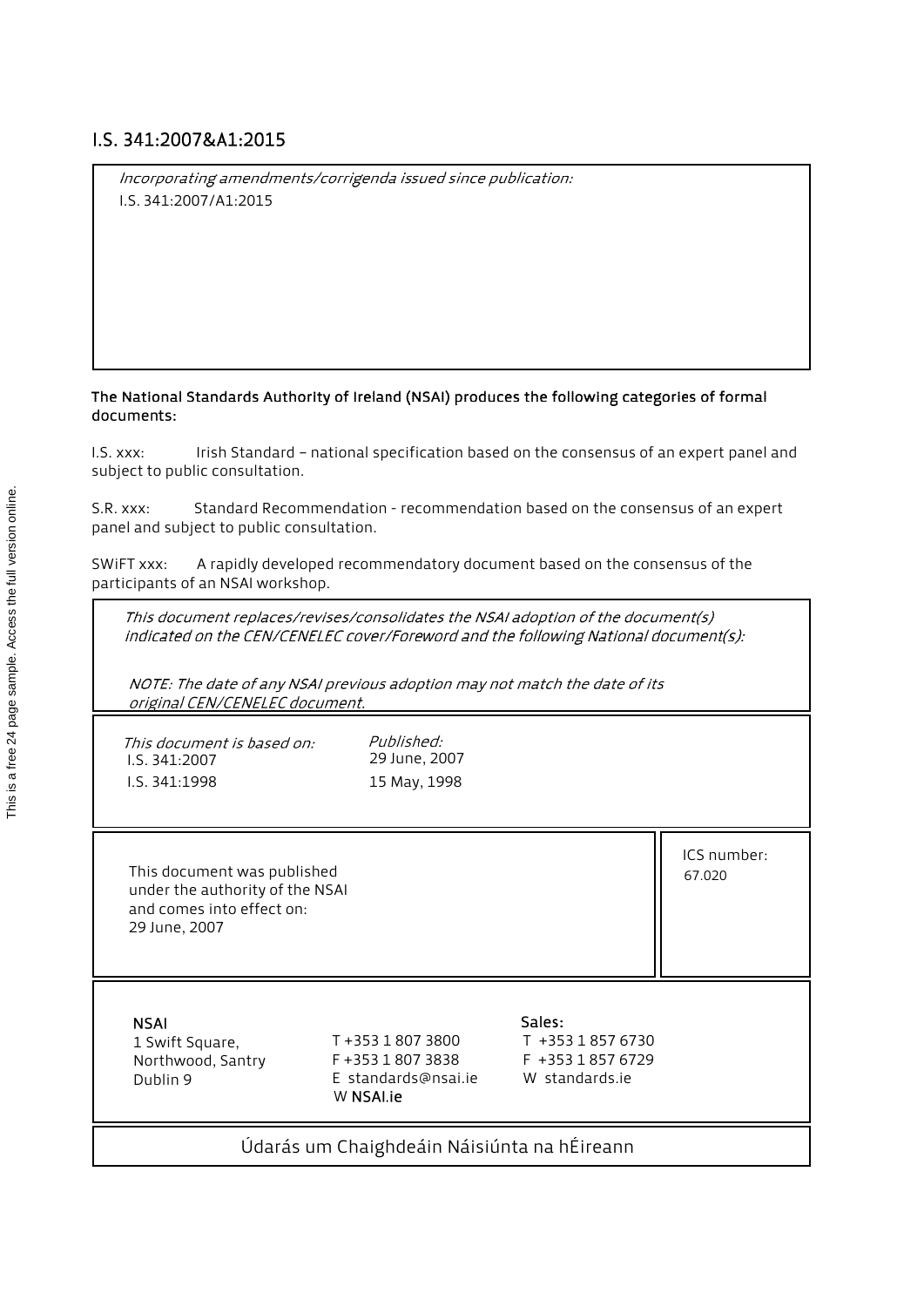# I.S. 341:2007&A1:2015

Incorporating amendments/corrigenda issued since publication: I.S. 341:2007/A1:2015

#### The National Standards Authority of Ireland (NSAI) produces the following categories of formal documents:

I.S. xxx: Irish Standard – national specification based on the consensus of an expert panel and subject to public consultation.

S.R. xxx: Standard Recommendation - recommendation based on the consensus of an expert panel and subject to public consultation.

SWiFT xxx: A rapidly developed recommendatory document based on the consensus of the participants of an NSAI workshop.

This document replaces/revises/consolidates the NSAI adoption of the document(s) indicated on the CEN/CENELEC cover/Foreword and the following National document(s):

NOTE: The date of any NSAI previous adoption may not match the date of its original CEN/CENELEC document.

| This document is based on:<br>I.S. 341:2007<br>I.S. 341:1998                                                 | Published:<br>29 June, 2007<br>15 May, 1998                               |                                                                   |                       |
|--------------------------------------------------------------------------------------------------------------|---------------------------------------------------------------------------|-------------------------------------------------------------------|-----------------------|
| This document was published<br>under the authority of the NSAI<br>and comes into effect on:<br>29 June, 2007 |                                                                           |                                                                   | ICS number:<br>67.020 |
| <b>NSAI</b><br>1 Swift Square,<br>Northwood, Santry<br>Dublin 9                                              | T +353 1 807 3800<br>F +353 1 807 3838<br>E standards@nsai.ie<br>W NSALie | Sales:<br>T +353 1 857 6730<br>F +353 1857 6729<br>W standards.je |                       |
| Údarás um Chaighdeáin Náisiúnta na hÉireann                                                                  |                                                                           |                                                                   |                       |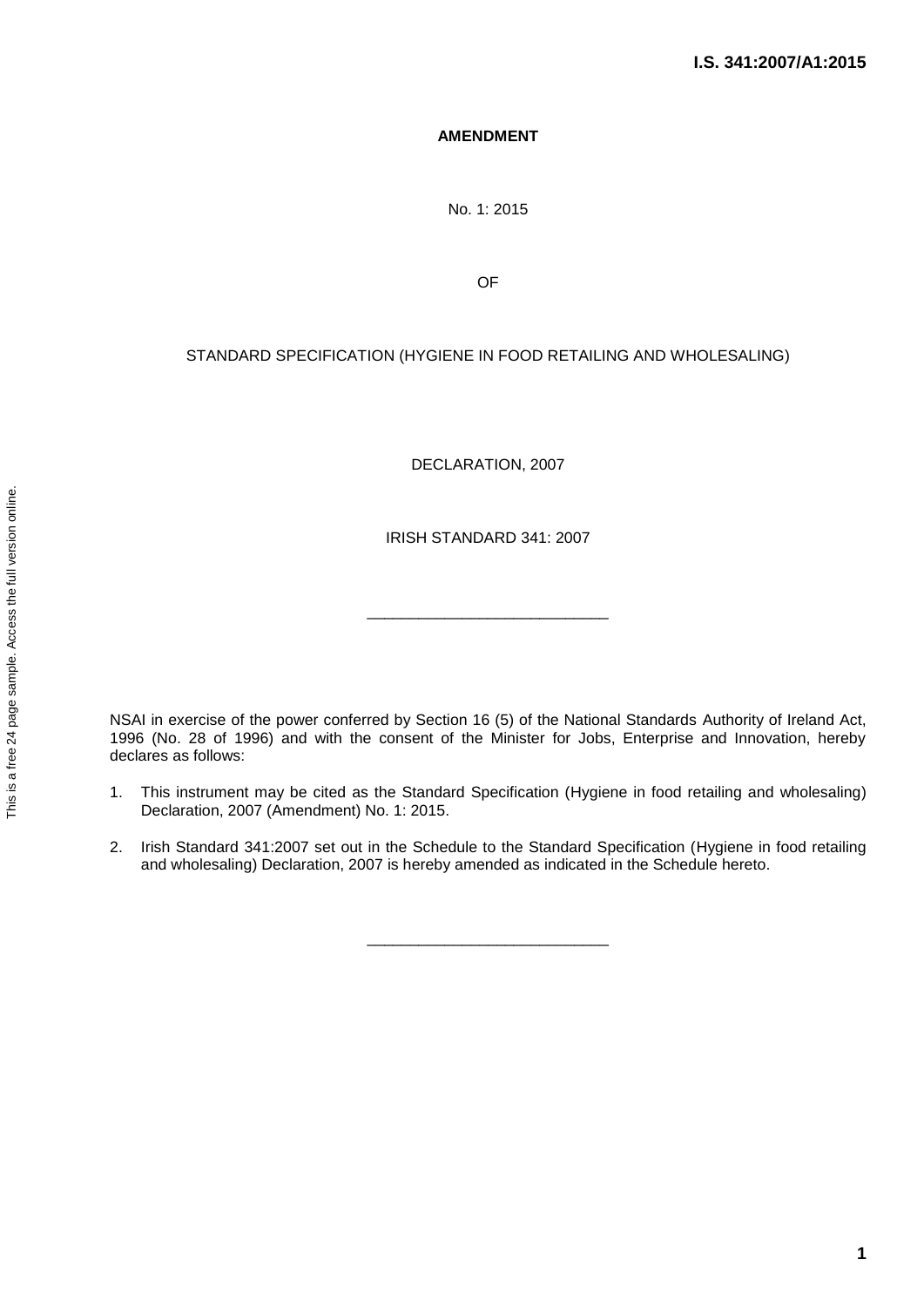### **AMENDMENT**

No. 1: 2015

OF

## STANDARD SPECIFICATION (HYGIENE IN FOOD RETAILING AND WHOLESALING)

DECLARATION, 2007

IRISH STANDARD 341: 2007

\_\_\_\_\_\_\_\_\_\_\_\_\_\_\_\_\_\_\_\_\_\_\_\_\_\_\_\_

NSAI in exercise of the power conferred by Section 16 (5) of the National Standards Authority of Ireland Act, 1996 (No. 28 of 1996) and with the consent of the Minister for Jobs, Enterprise and Innovation, hereby declares as follows:

- 1. This instrument may be cited as the Standard Specification (Hygiene in food retailing and wholesaling) Declaration, 2007 (Amendment) No. 1: 2015.
- 2. Irish Standard 341:2007 set out in the Schedule to the Standard Specification (Hygiene in food retailing and wholesaling) Declaration, 2007 is hereby amended as indicated in the Schedule hereto.

\_\_\_\_\_\_\_\_\_\_\_\_\_\_\_\_\_\_\_\_\_\_\_\_\_\_\_\_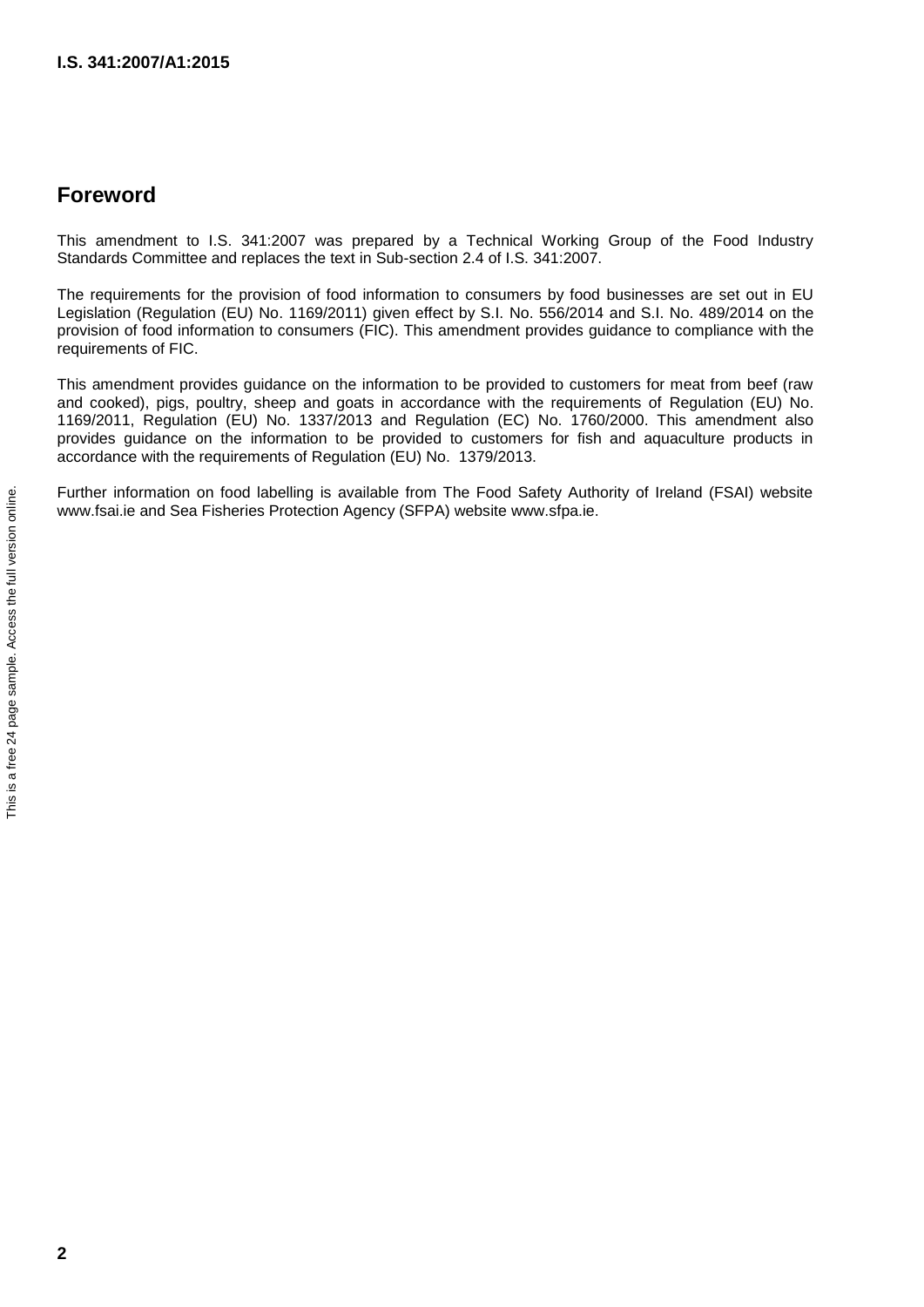# **Foreword**

This amendment to I.S. 341:2007 was prepared by a Technical Working Group of the Food Industry Standards Committee and replaces the text in Sub-section 2.4 of I.S. 341:2007.

The requirements for the provision of food information to consumers by food businesses are set out in EU Legislation (Regulation (EU) No. 1169/2011) given effect by S.I. No. 556/2014 and S.I. No. 489/2014 on the provision of food information to consumers (FIC). This amendment provides guidance to compliance with the requirements of FIC.

This amendment provides guidance on the information to be provided to customers for meat from beef (raw and cooked), pigs, poultry, sheep and goats in accordance with the requirements of Regulation (EU) No. 1169/2011, Regulation (EU) No. 1337/2013 and Regulation (EC) No. 1760/2000. This amendment also provides guidance on the information to be provided to customers for fish and aquaculture products in accordance with the requirements of Regulation (EU) No. 1379/2013.

Further information on food labelling is available from The Food Safety Authority of Ireland (FSAI) website www.fsai.ie and Sea Fisheries Protection Agency (SFPA) website www.sfpa.ie.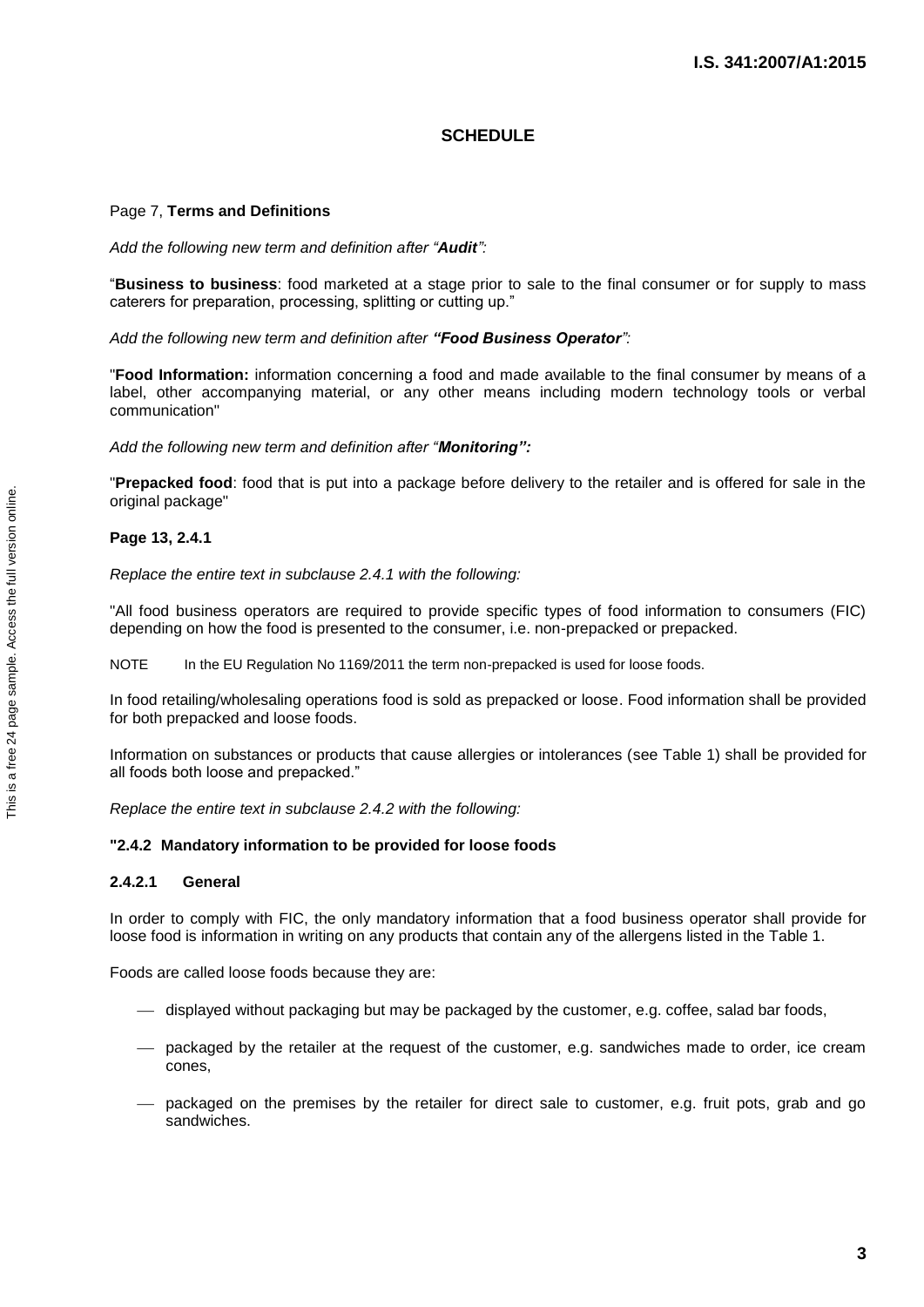#### **SCHEDULE**

#### Page 7, **Terms and Definitions**

*Add the following new term and definition after "Audit":*

"**Business to business**: food marketed at a stage prior to sale to the final consumer or for supply to mass caterers for preparation, processing, splitting or cutting up."

*Add the following new term and definition after "Food Business Operator":*

"**Food Information:** information concerning a food and made available to the final consumer by means of a label, other accompanying material, or any other means including modern technology tools or verbal communication"

*Add the following new term and definition after "Monitoring":*

"**Prepacked food**: food that is put into a package before delivery to the retailer and is offered for sale in the original package"

#### **Page 13, 2.4.1**

*Replace the entire text in subclause 2.4.1 with the following:*

"All food business operators are required to provide specific types of food information to consumers (FIC) depending on how the food is presented to the consumer, i.e. non-prepacked or prepacked.

NOTE In the EU Regulation No 1169/2011 the term non-prepacked is used for loose foods.

In food retailing/wholesaling operations food is sold as prepacked or loose. Food information shall be provided for both prepacked and loose foods.

Information on substances or products that cause allergies or intolerances (see Table 1) shall be provided for all foods both loose and prepacked."

*Replace the entire text in subclause 2.4.2 with the following:*

#### **"2.4.2 Mandatory information to be provided for loose foods**

#### **2.4.2.1 General**

In order to comply with FIC, the only mandatory information that a food business operator shall provide for loose food is information in writing on any products that contain any of the allergens listed in the Table 1.

Foods are called loose foods because they are:

- displayed without packaging but may be packaged by the customer, e.g. coffee, salad bar foods,
- packaged by the retailer at the request of the customer, e.g. sandwiches made to order, ice cream cones,
- packaged on the premises by the retailer for direct sale to customer, e.g. fruit pots, grab and go sandwiches.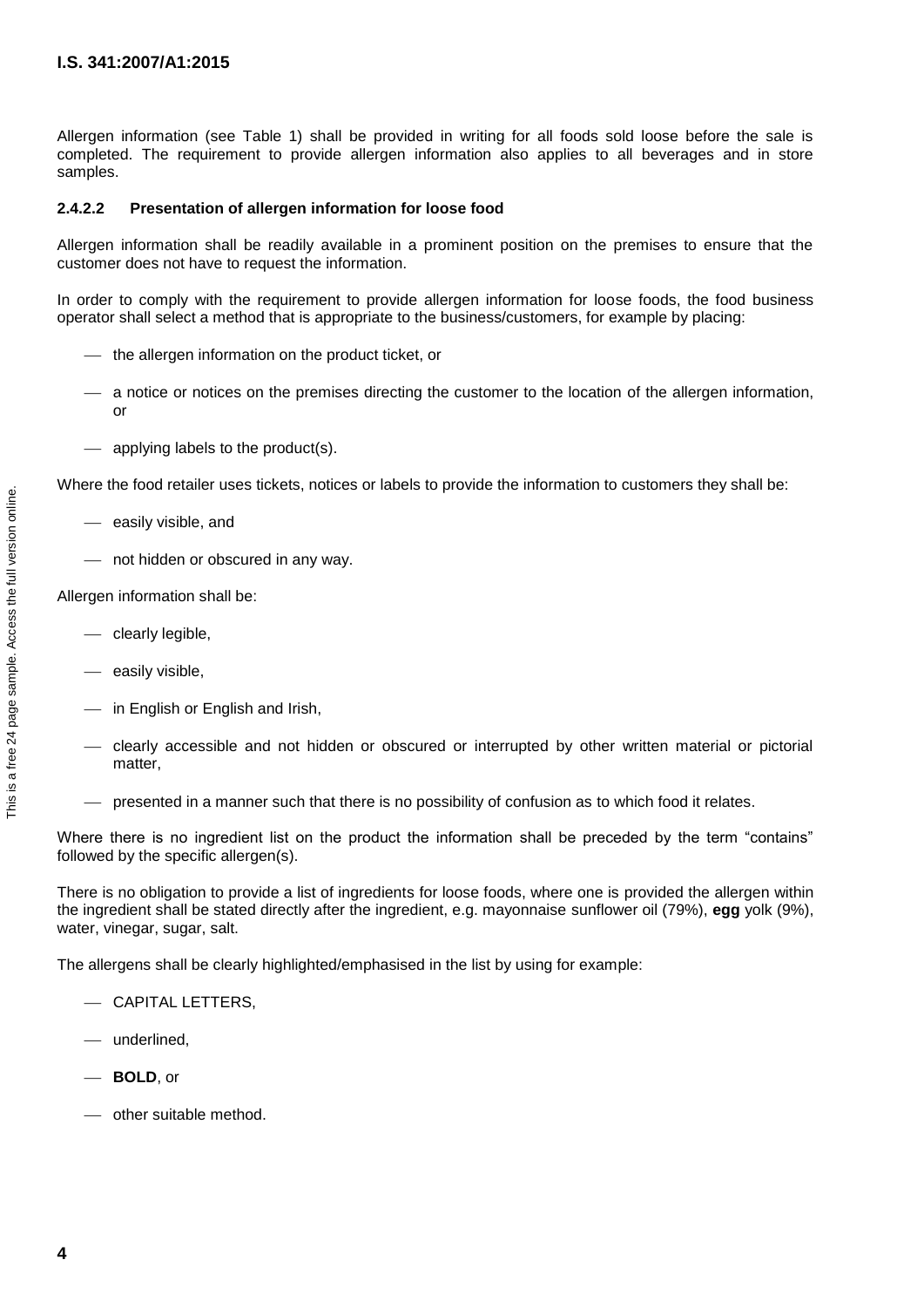Allergen information (see Table 1) shall be provided in writing for all foods sold loose before the sale is completed. The requirement to provide allergen information also applies to all beverages and in store samples.

#### **2.4.2.2 Presentation of allergen information for loose food**

Allergen information shall be readily available in a prominent position on the premises to ensure that the customer does not have to request the information.

In order to comply with the requirement to provide allergen information for loose foods, the food business operator shall select a method that is appropriate to the business/customers, for example by placing:

- $-$  the allergen information on the product ticket, or
- a notice or notices on the premises directing the customer to the location of the allergen information, or
- applying labels to the product(s).

Where the food retailer uses tickets, notices or labels to provide the information to customers they shall be:

- easily visible, and
- not hidden or obscured in any way.

Allergen information shall be:

- $-$  clearly legible,
- $-$  easily visible.
- $-$  in English or English and Irish.
- clearly accessible and not hidden or obscured or interrupted by other written material or pictorial matter,
- $\rightharpoonup$  presented in a manner such that there is no possibility of confusion as to which food it relates.

Where there is no ingredient list on the product the information shall be preceded by the term "contains" followed by the specific allergen(s).

There is no obligation to provide a list of ingredients for loose foods, where one is provided the allergen within the ingredient shall be stated directly after the ingredient, e.g. mayonnaise sunflower oil (79%), **egg** yolk (9%), water, vinegar, sugar, salt.

The allergens shall be clearly highlighted/emphasised in the list by using for example:

- $-$  CAPITAL LETTERS.
- underlined,
- **BOLD**, or
- other suitable method.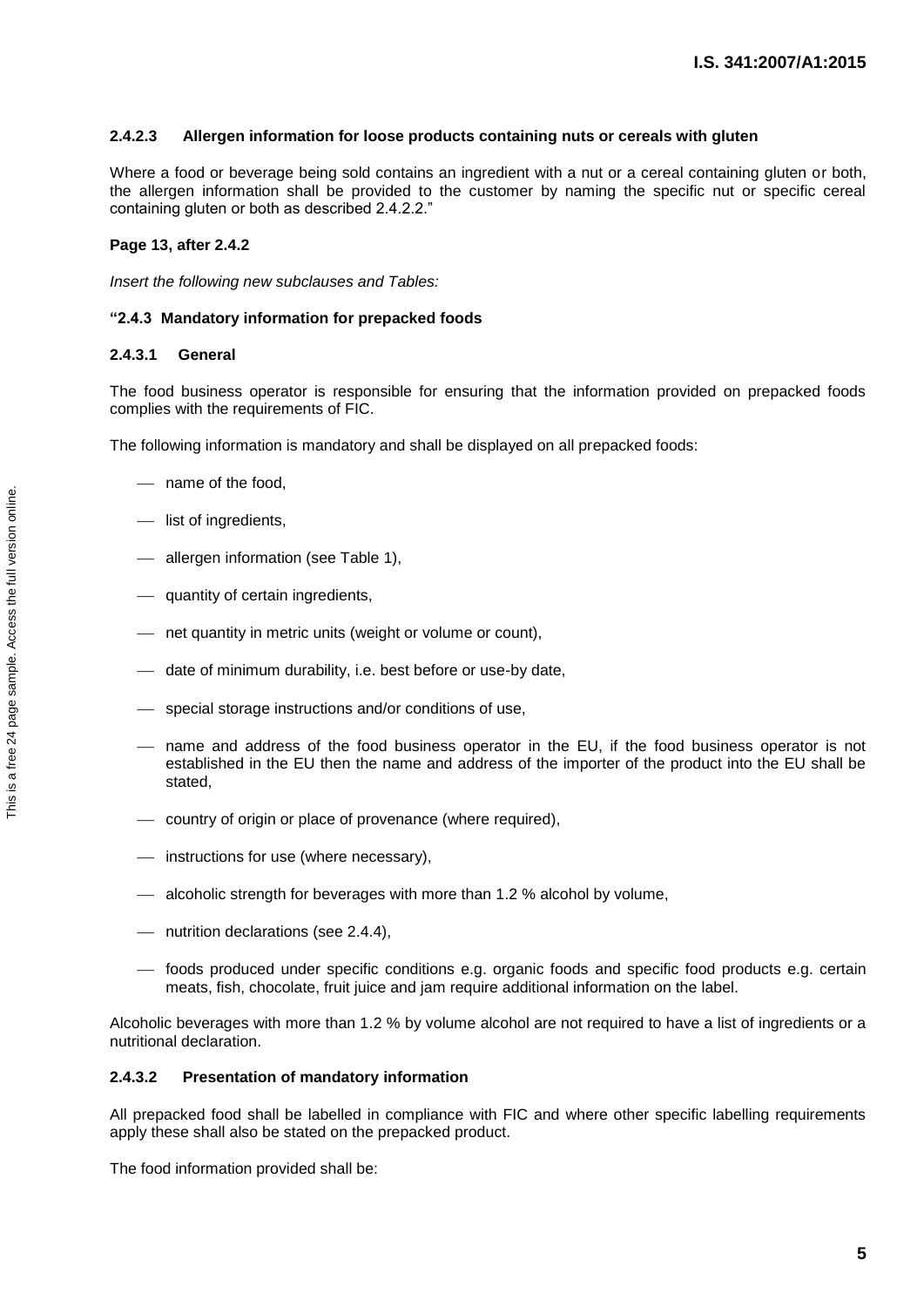#### **2.4.2.3 Allergen information for loose products containing nuts or cereals with gluten**

Where a food or beverage being sold contains an ingredient with a nut or a cereal containing gluten or both, the allergen information shall be provided to the customer by naming the specific nut or specific cereal containing gluten or both as described 2.4.2.2."

#### **Page 13, after 2.4.2**

*Insert the following new subclauses and Tables:*

#### **"2.4.3 Mandatory information for prepacked foods**

#### **2.4.3.1 General**

The food business operator is responsible for ensuring that the information provided on prepacked foods complies with the requirements of FIC.

The following information is mandatory and shall be displayed on all prepacked foods:

- name of the food,
- list of ingredients,
- allergen information (see Table 1),
- quantity of certain ingredients,
- net quantity in metric units (weight or volume or count),
- date of minimum durability, i.e. best before or use-by date,
- special storage instructions and/or conditions of use,
- name and address of the food business operator in the EU, if the food business operator is not established in the EU then the name and address of the importer of the product into the EU shall be stated,
- country of origin or place of provenance (where required),
- instructions for use (where necessary),
- alcoholic strength for beverages with more than 1.2 % alcohol by volume,
- nutrition declarations (see 2.4.4),
- foods produced under specific conditions e.g. organic foods and specific food products e.g. certain meats, fish, chocolate, fruit juice and jam require additional information on the label.

Alcoholic beverages with more than 1.2 % by volume alcohol are not required to have a list of ingredients or a nutritional declaration.

#### **2.4.3.2 Presentation of mandatory information**

All prepacked food shall be labelled in compliance with FIC and where other specific labelling requirements apply these shall also be stated on the prepacked product.

The food information provided shall be: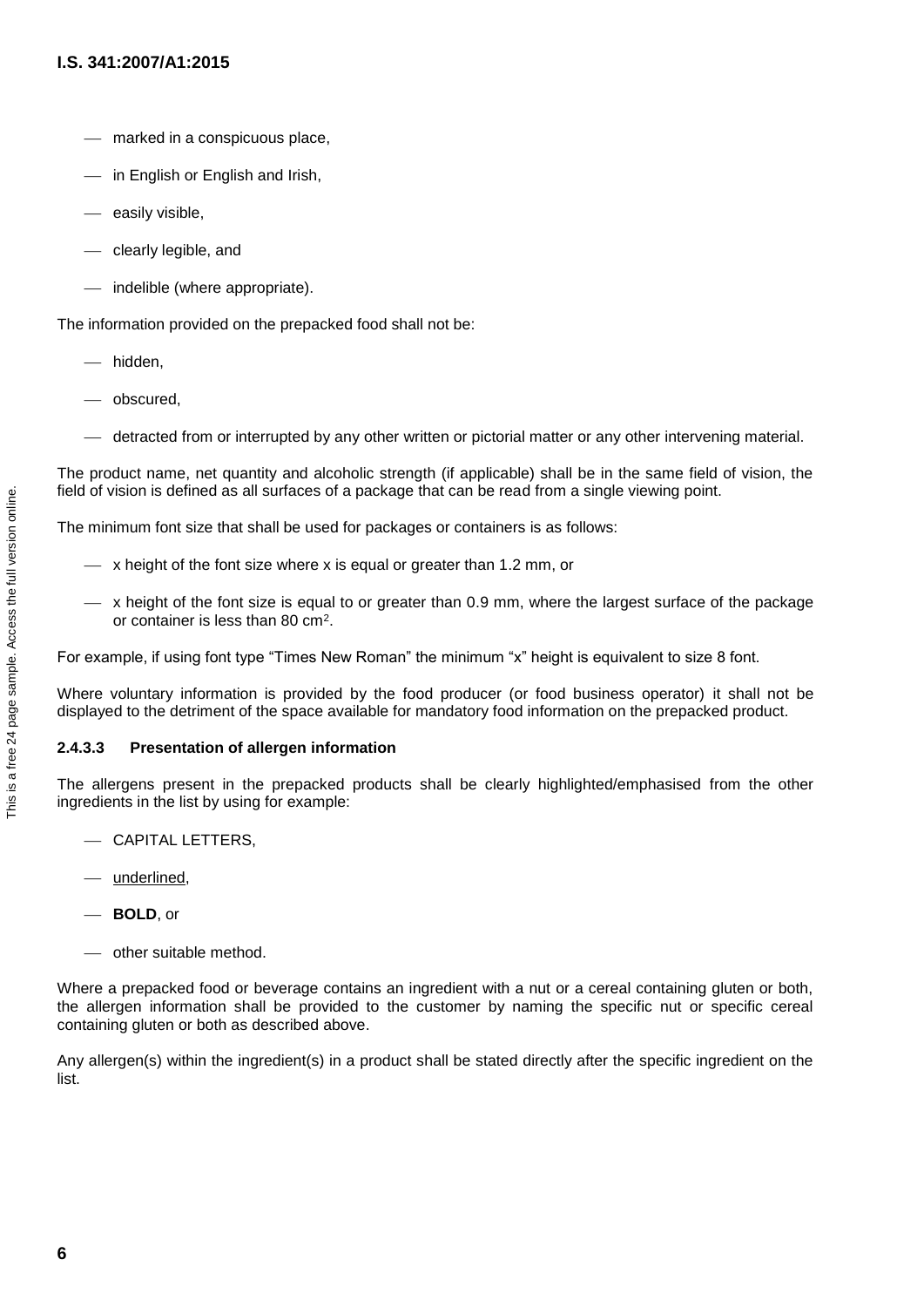- marked in a conspicuous place,
- $-$  in English or English and Irish,
- easily visible,
- clearly legible, and
- indelible (where appropriate).

The information provided on the prepacked food shall not be:

- hidden,
- obscured,
- detracted from or interrupted by any other written or pictorial matter or any other intervening material.

The product name, net quantity and alcoholic strength (if applicable) shall be in the same field of vision, the field of vision is defined as all surfaces of a package that can be read from a single viewing point.

The minimum font size that shall be used for packages or containers is as follows:

- $\sim$  x height of the font size where x is equal or greater than 1.2 mm, or
- x height of the font size is equal to or greater than 0.9 mm, where the largest surface of the package or container is less than 80 cm<sup>2</sup>.

For example, if using font type "Times New Roman" the minimum "x" height is equivalent to size 8 font.

Where voluntary information is provided by the food producer (or food business operator) it shall not be displayed to the detriment of the space available for mandatory food information on the prepacked product.

#### **2.4.3.3 Presentation of allergen information**

The allergens present in the prepacked products shall be clearly highlighted/emphasised from the other ingredients in the list by using for example:

- CAPITAL LETTERS,
- underlined,
- **BOLD**, or
- other suitable method.

Where a prepacked food or beverage contains an ingredient with a nut or a cereal containing gluten or both, the allergen information shall be provided to the customer by naming the specific nut or specific cereal containing gluten or both as described above.

Any allergen(s) within the ingredient(s) in a product shall be stated directly after the specific ingredient on the list.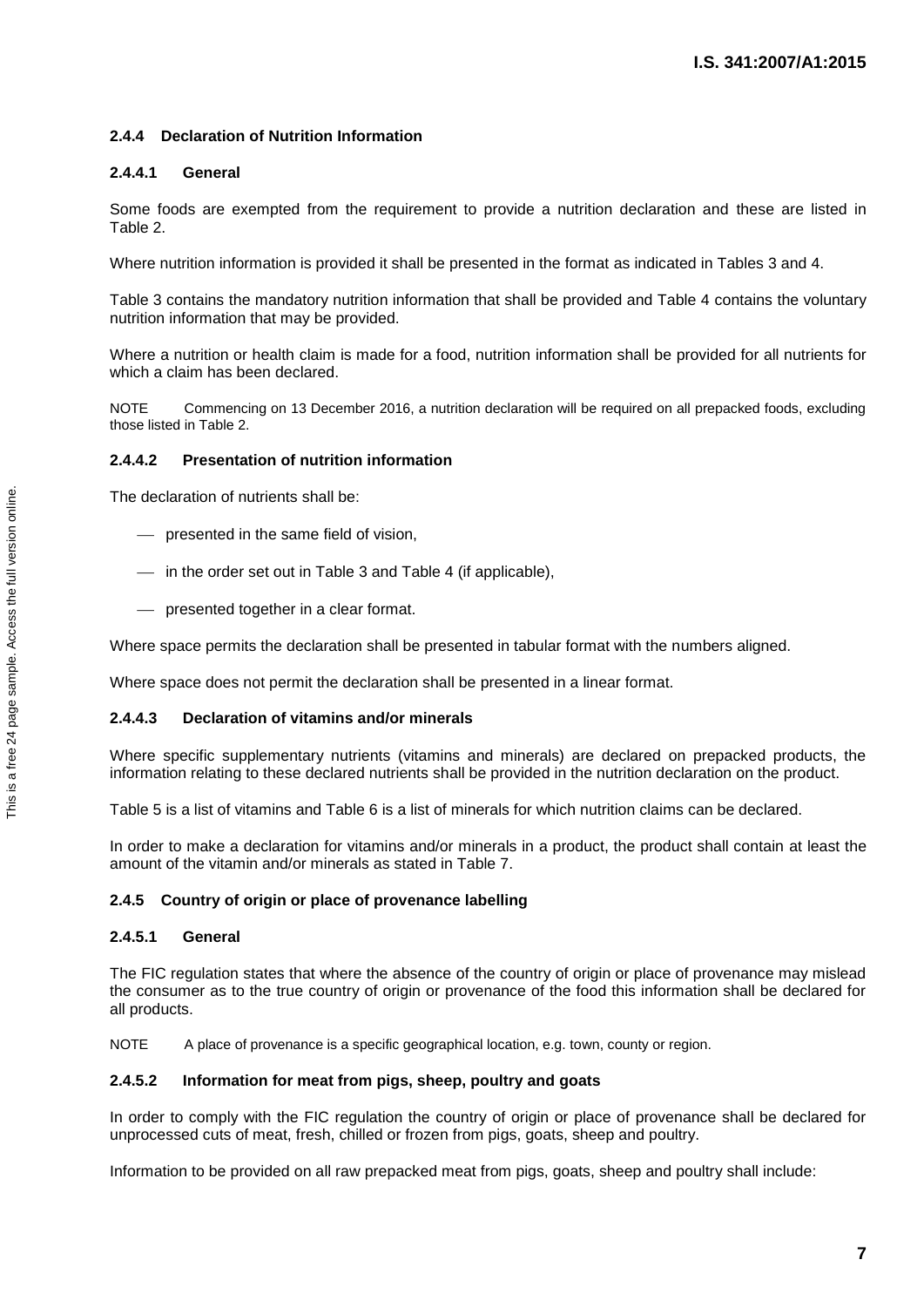#### **2.4.4 Declaration of Nutrition Information**

#### **2.4.4.1 General**

Some foods are exempted from the requirement to provide a nutrition declaration and these are listed in Table 2.

Where nutrition information is provided it shall be presented in the format as indicated in Tables 3 and 4.

Table 3 contains the mandatory nutrition information that shall be provided and Table 4 contains the voluntary nutrition information that may be provided.

Where a nutrition or health claim is made for a food, nutrition information shall be provided for all nutrients for which a claim has been declared.

NOTE Commencing on 13 December 2016, a nutrition declaration will be required on all prepacked foods, excluding those listed in Table 2.

#### **2.4.4.2 Presentation of nutrition information**

The declaration of nutrients shall be:

- presented in the same field of vision,
- in the order set out in Table 3 and Table 4 (if applicable),
- presented together in a clear format.

Where space permits the declaration shall be presented in tabular format with the numbers aligned.

Where space does not permit the declaration shall be presented in a linear format.

#### **2.4.4.3 Declaration of vitamins and/or minerals**

Where specific supplementary nutrients (vitamins and minerals) are declared on prepacked products, the information relating to these declared nutrients shall be provided in the nutrition declaration on the product.

Table 5 is a list of vitamins and Table 6 is a list of minerals for which nutrition claims can be declared.

In order to make a declaration for vitamins and/or minerals in a product, the product shall contain at least the amount of the vitamin and/or minerals as stated in Table 7.

#### **2.4.5 Country of origin or place of provenance labelling**

#### **2.4.5.1 General**

The FIC regulation states that where the absence of the country of origin or place of provenance may mislead the consumer as to the true country of origin or provenance of the food this information shall be declared for all products.

NOTE A place of provenance is a specific geographical location, e.g. town, county or region.

#### **2.4.5.2 Information for meat from pigs, sheep, poultry and goats**

In order to comply with the FIC regulation the country of origin or place of provenance shall be declared for unprocessed cuts of meat, fresh, chilled or frozen from pigs, goats, sheep and poultry.

Information to be provided on all raw prepacked meat from pigs, goats, sheep and poultry shall include: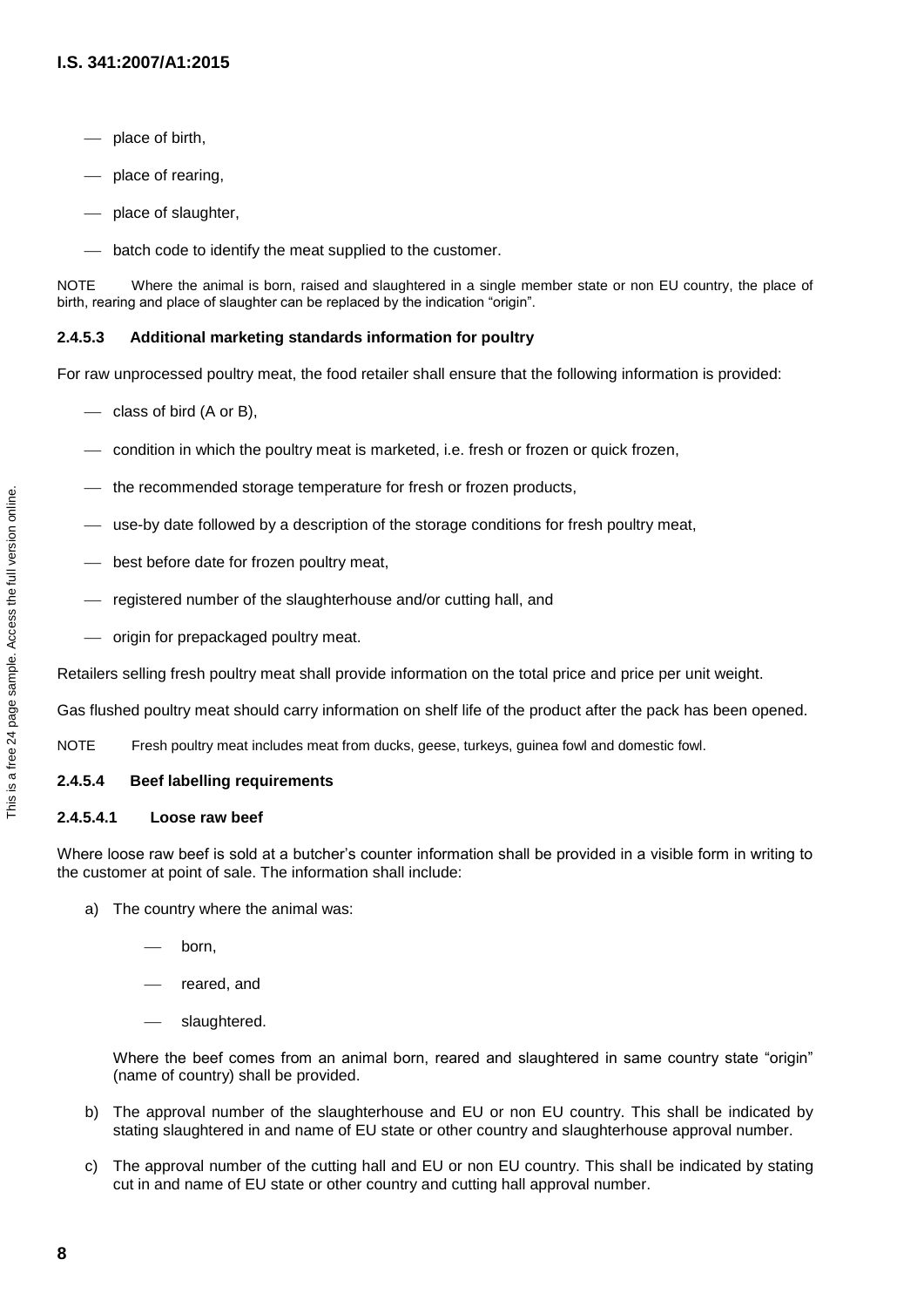- place of birth,
- place of rearing,
- place of slaughter,
- batch code to identify the meat supplied to the customer.

NOTE Where the animal is born, raised and slaughtered in a single member state or non EU country, the place of birth, rearing and place of slaughter can be replaced by the indication "origin".

#### **2.4.5.3 Additional marketing standards information for poultry**

For raw unprocessed poultry meat, the food retailer shall ensure that the following information is provided:

- $\overline{\phantom{a}}$  class of bird (A or B),
- condition in which the poultry meat is marketed, i.e. fresh or frozen or quick frozen,
- the recommended storage temperature for fresh or frozen products,
- use-by date followed by a description of the storage conditions for fresh poultry meat,
- best before date for frozen poultry meat,
- registered number of the slaughterhouse and/or cutting hall, and
- origin for prepackaged poultry meat.

Retailers selling fresh poultry meat shall provide information on the total price and price per unit weight.

Gas flushed poultry meat should carry information on shelf life of the product after the pack has been opened.

NOTE Fresh poultry meat includes meat from ducks, geese, turkeys, guinea fowl and domestic fowl.

#### **2.4.5.4 Beef labelling requirements**

#### **2.4.5.4.1 Loose raw beef**

Where loose raw beef is sold at a butcher's counter information shall be provided in a visible form in writing to the customer at point of sale. The information shall include:

- a) The country where the animal was:
	- born,
	- reared, and
	- slaughtered.

Where the beef comes from an animal born, reared and slaughtered in same country state "origin" (name of country) shall be provided.

- b) The approval number of the slaughterhouse and EU or non EU country. This shall be indicated by stating slaughtered in and name of EU state or other country and slaughterhouse approval number.
- c) The approval number of the cutting hall and EU or non EU country. This shall be indicated by stating cut in and name of EU state or other country and cutting hall approval number.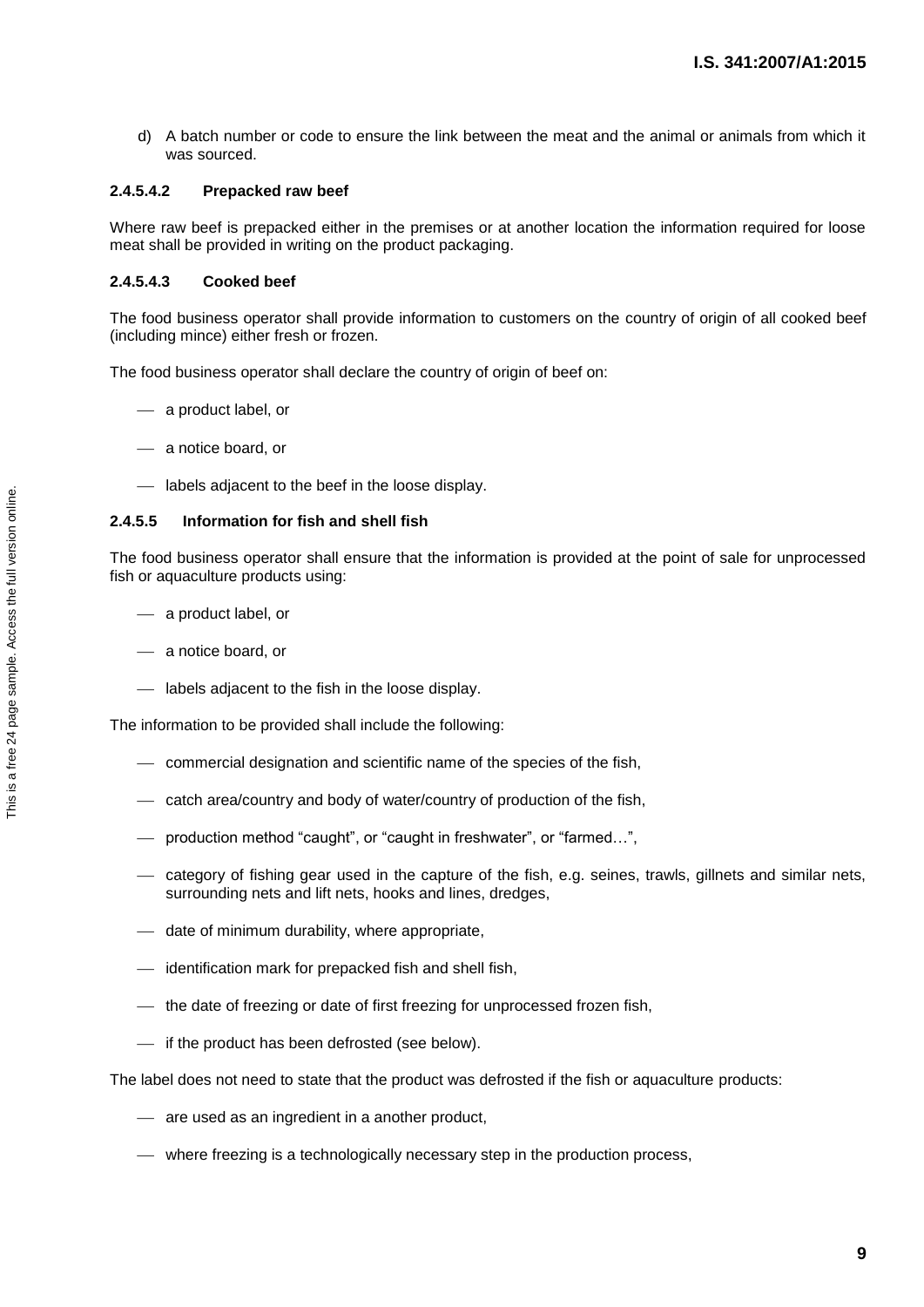d) A batch number or code to ensure the link between the meat and the animal or animals from which it was sourced.

#### **2.4.5.4.2 Prepacked raw beef**

Where raw beef is prepacked either in the premises or at another location the information required for loose meat shall be provided in writing on the product packaging.

#### **2.4.5.4.3 Cooked beef**

The food business operator shall provide information to customers on the country of origin of all cooked beef (including mince) either fresh or frozen.

The food business operator shall declare the country of origin of beef on:

- a product label, or
- a notice board, or
- labels adjacent to the beef in the loose display.

#### **2.4.5.5 Information for fish and shell fish**

The food business operator shall ensure that the information is provided at the point of sale for unprocessed fish or aquaculture products using:

- a product label, or
- a notice board, or
- labels adjacent to the fish in the loose display.

The information to be provided shall include the following:

- commercial designation and scientific name of the species of the fish,
- $-$  catch area/country and body of water/country of production of the fish,
- production method "caught", or "caught in freshwater", or "farmed…",
- category of fishing gear used in the capture of the fish, e.g. seines, trawls, gillnets and similar nets, surrounding nets and lift nets, hooks and lines, dredges,
- date of minimum durability, where appropriate,
- identification mark for prepacked fish and shell fish,
- $-$  the date of freezing or date of first freezing for unprocessed frozen fish,
- $-$  if the product has been defrosted (see below).

The label does not need to state that the product was defrosted if the fish or aquaculture products:

- are used as an ingredient in a another product,
- where freezing is a technologically necessary step in the production process,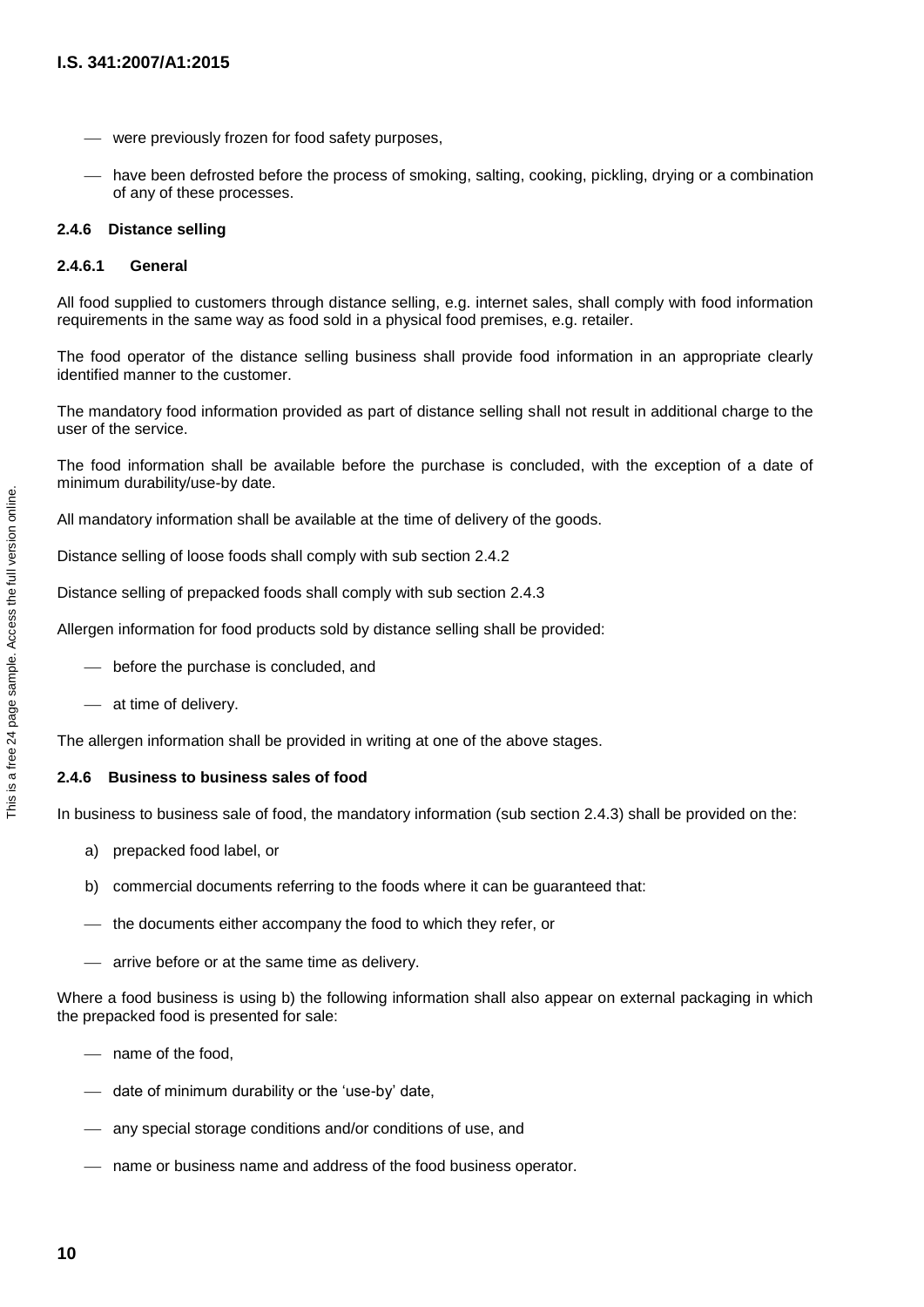- were previously frozen for food safety purposes,
- have been defrosted before the process of smoking, salting, cooking, pickling, drying or a combination of any of these processes.

#### **2.4.6 Distance selling**

#### **2.4.6.1 General**

All food supplied to customers through distance selling, e.g. internet sales, shall comply with food information requirements in the same way as food sold in a physical food premises, e.g. retailer.

The food operator of the distance selling business shall provide food information in an appropriate clearly identified manner to the customer.

The mandatory food information provided as part of distance selling shall not result in additional charge to the user of the service.

The food information shall be available before the purchase is concluded, with the exception of a date of minimum durability/use-by date.

All mandatory information shall be available at the time of delivery of the goods.

Distance selling of loose foods shall comply with sub section 2.4.2

Distance selling of prepacked foods shall comply with sub section 2.4.3

Allergen information for food products sold by distance selling shall be provided:

- before the purchase is concluded, and
- at time of delivery.

The allergen information shall be provided in writing at one of the above stages.

#### **2.4.6 Business to business sales of food**

In business to business sale of food, the mandatory information (sub section 2.4.3) shall be provided on the:

- a) prepacked food label, or
- b) commercial documents referring to the foods where it can be guaranteed that:
- $-$  the documents either accompany the food to which they refer, or
- $-$  arrive before or at the same time as delivery.

Where a food business is using b) the following information shall also appear on external packaging in which the prepacked food is presented for sale:

- name of the food,
- date of minimum durability or the 'use-by' date,
- any special storage conditions and/or conditions of use, and
- name or business name and address of the food business operator.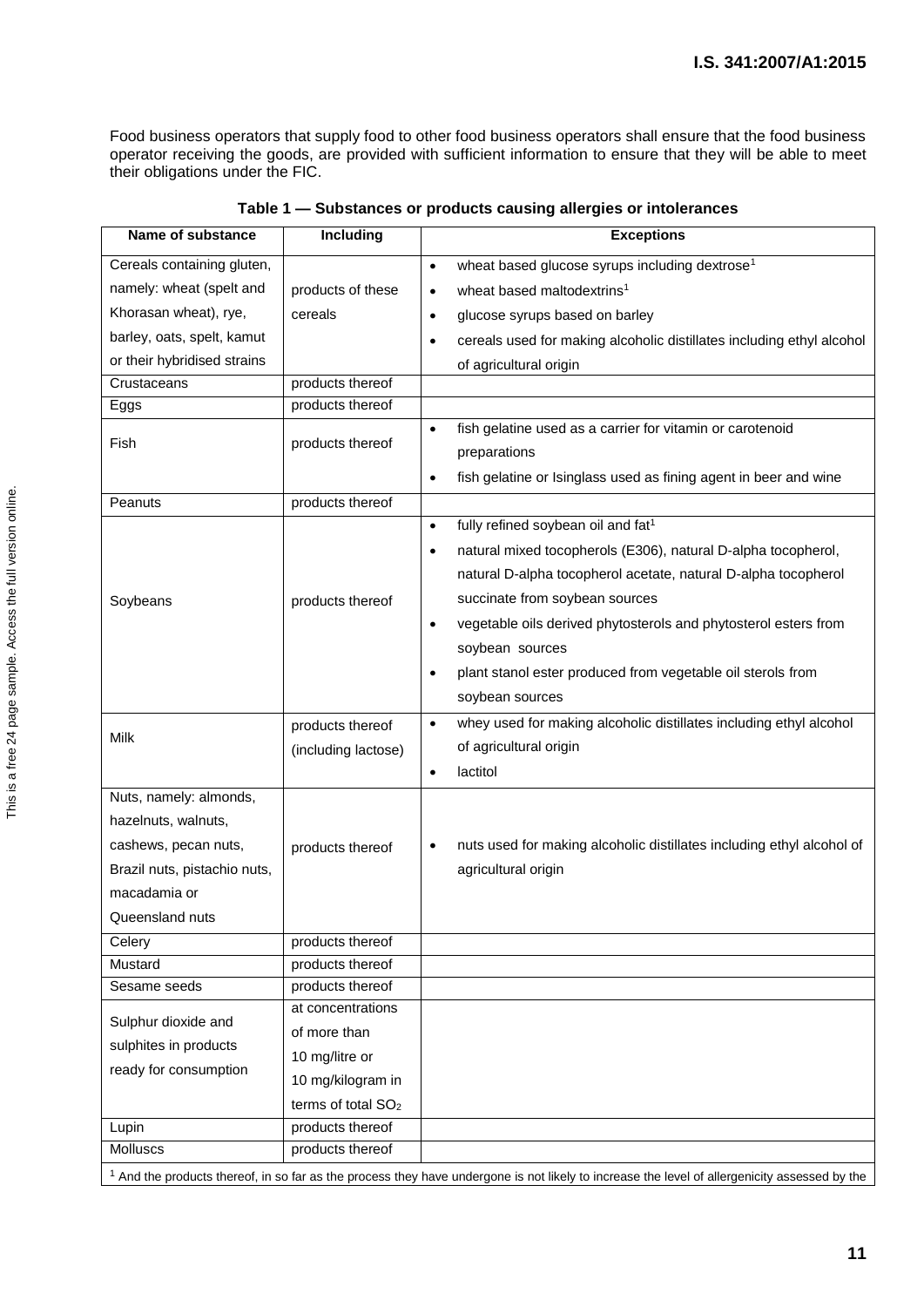Food business operators that supply food to other food business operators shall ensure that the food business operator receiving the goods, are provided with sufficient information to ensure that they will be able to meet their obligations under the FIC.

| <b>Name of substance</b>     | Including                      | <b>Exceptions</b>                                                                                                                                        |
|------------------------------|--------------------------------|----------------------------------------------------------------------------------------------------------------------------------------------------------|
| Cereals containing gluten,   |                                | wheat based glucose syrups including dextrose <sup>1</sup><br>$\bullet$                                                                                  |
| namely: wheat (spelt and     | products of these              | wheat based maltodextrins <sup>1</sup><br>$\bullet$                                                                                                      |
| Khorasan wheat), rye,        | cereals                        | glucose syrups based on barley<br>$\bullet$                                                                                                              |
| barley, oats, spelt, kamut   |                                | cereals used for making alcoholic distillates including ethyl alcohol<br>$\bullet$                                                                       |
| or their hybridised strains  |                                | of agricultural origin                                                                                                                                   |
| Crustaceans                  | products thereof               |                                                                                                                                                          |
| Eggs                         | products thereof               |                                                                                                                                                          |
| Fish                         | products thereof               | fish gelatine used as a carrier for vitamin or carotenoid<br>$\bullet$                                                                                   |
|                              |                                | preparations                                                                                                                                             |
|                              |                                | fish gelatine or Isinglass used as fining agent in beer and wine<br>$\bullet$                                                                            |
| Peanuts                      | products thereof               |                                                                                                                                                          |
|                              |                                | fully refined soybean oil and fat <sup>1</sup><br>$\bullet$                                                                                              |
|                              |                                | natural mixed tocopherols (E306), natural D-alpha tocopherol,<br>$\bullet$                                                                               |
|                              |                                | natural D-alpha tocopherol acetate, natural D-alpha tocopherol                                                                                           |
| Soybeans                     | products thereof               | succinate from soybean sources                                                                                                                           |
|                              |                                | vegetable oils derived phytosterols and phytosterol esters from<br>$\bullet$                                                                             |
|                              |                                | soybean sources                                                                                                                                          |
|                              |                                | plant stanol ester produced from vegetable oil sterols from<br>$\bullet$                                                                                 |
|                              |                                | soybean sources                                                                                                                                          |
|                              | products thereof               | whey used for making alcoholic distillates including ethyl alcohol<br>$\bullet$                                                                          |
| Milk                         | (including lactose)            | of agricultural origin                                                                                                                                   |
|                              |                                | lactitol<br>$\bullet$                                                                                                                                    |
| Nuts, namely: almonds,       |                                |                                                                                                                                                          |
| hazelnuts, walnuts,          |                                |                                                                                                                                                          |
| cashews, pecan nuts,         | products thereof               | nuts used for making alcoholic distillates including ethyl alcohol of<br>$\bullet$                                                                       |
| Brazil nuts, pistachio nuts, |                                | agricultural origin                                                                                                                                      |
| macadamia or                 |                                |                                                                                                                                                          |
| Queensland nuts              |                                |                                                                                                                                                          |
| Celery                       | products thereof               |                                                                                                                                                          |
| Mustard                      | products thereof               |                                                                                                                                                          |
| Sesame seeds                 | products thereof               |                                                                                                                                                          |
| Sulphur dioxide and          | at concentrations              |                                                                                                                                                          |
| sulphites in products        | of more than                   |                                                                                                                                                          |
| ready for consumption        | 10 mg/litre or                 |                                                                                                                                                          |
|                              | 10 mg/kilogram in              |                                                                                                                                                          |
|                              | terms of total SO <sub>2</sub> |                                                                                                                                                          |
| Lupin                        | products thereof               |                                                                                                                                                          |
| Molluscs                     | products thereof               |                                                                                                                                                          |
|                              |                                | <sup>1</sup> And the products thereof, in so far as the process they have undergone is not likely to increase the level of allergenicity assessed by the |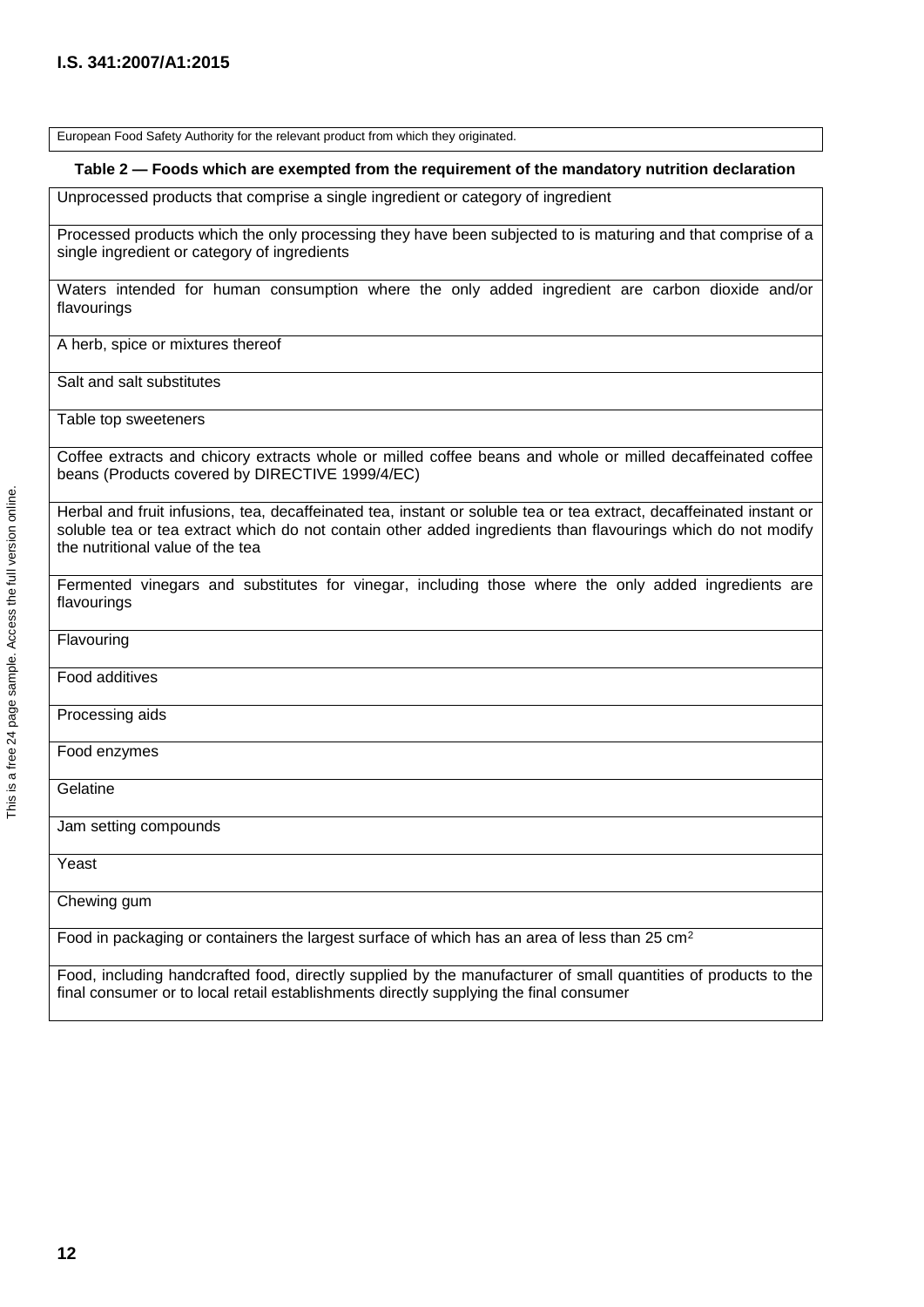| European Food Safety Authority for the relevant product from which they originated.                                                                                                                                                                                     |
|-------------------------------------------------------------------------------------------------------------------------------------------------------------------------------------------------------------------------------------------------------------------------|
| Table 2 — Foods which are exempted from the requirement of the mandatory nutrition declaration                                                                                                                                                                          |
| Unprocessed products that comprise a single ingredient or category of ingredient                                                                                                                                                                                        |
| Processed products which the only processing they have been subjected to is maturing and that comprise of a<br>single ingredient or category of ingredients                                                                                                             |
| Waters intended for human consumption where the only added ingredient are carbon dioxide and/or<br>flavourings                                                                                                                                                          |
| A herb, spice or mixtures thereof                                                                                                                                                                                                                                       |
| Salt and salt substitutes                                                                                                                                                                                                                                               |
| Table top sweeteners                                                                                                                                                                                                                                                    |
| Coffee extracts and chicory extracts whole or milled coffee beans and whole or milled decaffeinated coffee<br>beans (Products covered by DIRECTIVE 1999/4/EC)                                                                                                           |
| Herbal and fruit infusions, tea, decaffeinated tea, instant or soluble tea or tea extract, decaffeinated instant or<br>soluble tea or tea extract which do not contain other added ingredients than flavourings which do not modify<br>the nutritional value of the tea |
| Fermented vinegars and substitutes for vinegar, including those where the only added ingredients are<br>flavourings                                                                                                                                                     |
| Flavouring                                                                                                                                                                                                                                                              |
| Food additives                                                                                                                                                                                                                                                          |
| Processing aids                                                                                                                                                                                                                                                         |
| Food enzymes                                                                                                                                                                                                                                                            |
| Gelatine                                                                                                                                                                                                                                                                |
| Jam setting compounds                                                                                                                                                                                                                                                   |
| Yeast                                                                                                                                                                                                                                                                   |
| Chewing gum                                                                                                                                                                                                                                                             |
| Food in packaging or containers the largest surface of which has an area of less than 25 cm <sup>2</sup>                                                                                                                                                                |
| Food, including handcrafted food, directly supplied by the manufacturer of small quantities of products to the<br>final consumer or to local retail establishments directly supplying the final consumer                                                                |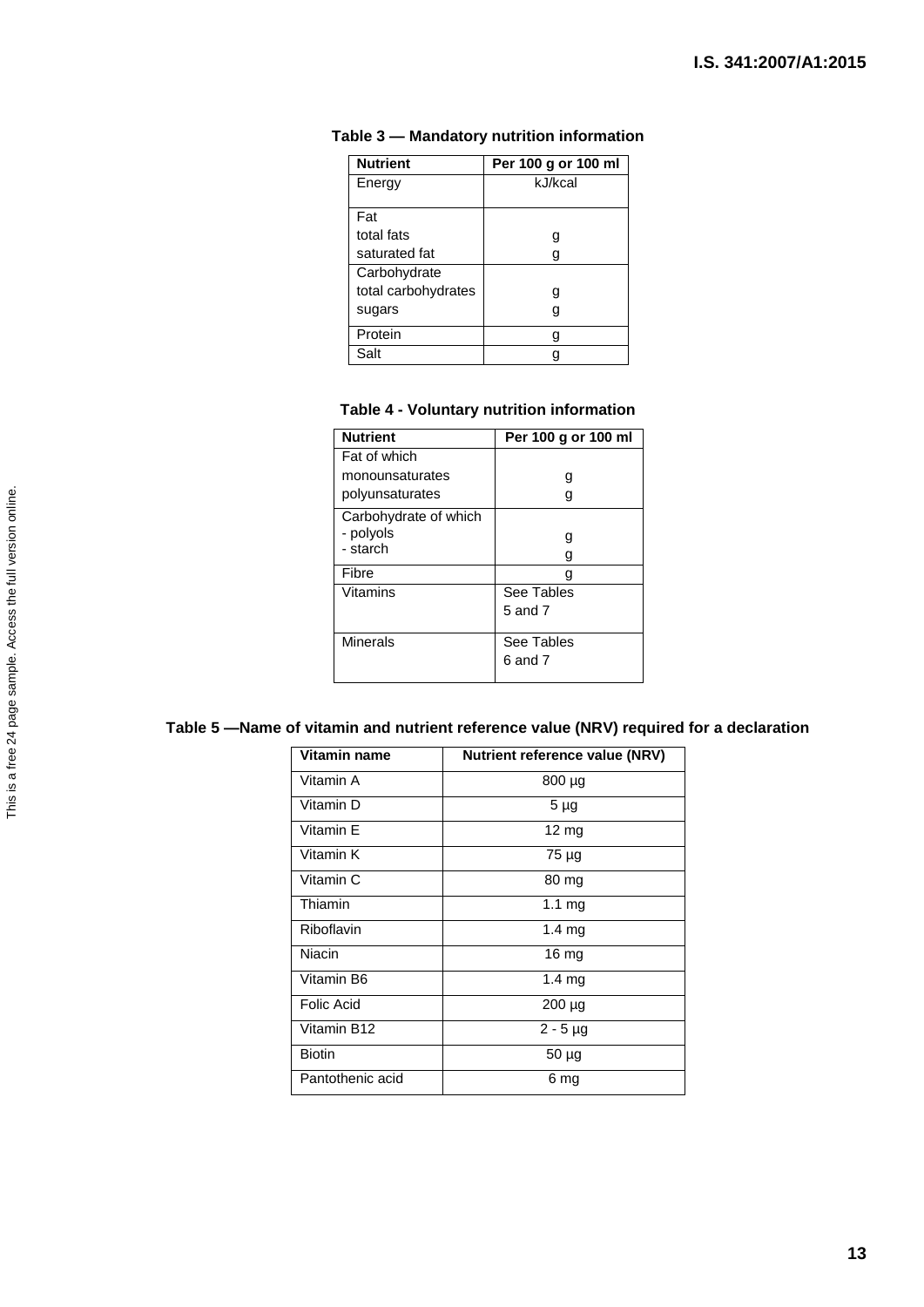| <b>Nutrient</b>     | Per 100 g or 100 ml |
|---------------------|---------------------|
| Energy              | kJ/kcal             |
|                     |                     |
| Fat                 |                     |
| total fats          | g                   |
| saturated fat       | g                   |
| Carbohydrate        |                     |
| total carbohydrates | g                   |
| sugars              | g                   |
| Protein             | g                   |
| Salt                |                     |

#### **Table 3 — Mandatory nutrition information**

#### **Table 4 - Voluntary nutrition information**

| <b>Nutrient</b>       | Per 100 g or 100 ml |
|-----------------------|---------------------|
| Fat of which          |                     |
| monounsaturates       | g                   |
| polyunsaturates       | g                   |
| Carbohydrate of which |                     |
| - polyols             |                     |
| - starch              | g                   |
| Fibre                 |                     |
| Vitamins              | See Tables          |
|                       | $5$ and $7$         |
| Minerals              | See Tables          |
|                       | 6 and 7             |

### **Table 5 —Name of vitamin and nutrient reference value (NRV) required for a declaration**

| Vitamin name     | <b>Nutrient reference value (NRV)</b> |
|------------------|---------------------------------------|
| Vitamin A        | 800 µg                                |
| Vitamin D        | 5 <sub>µg</sub>                       |
| Vitamin E        | $12 \text{ mg}$                       |
| Vitamin K        | 75 µg                                 |
| Vitamin C        | 80 mg                                 |
| Thiamin          | 1.1 <sub>mg</sub>                     |
| Riboflavin       | $1.4 \text{ mg}$                      |
| Niacin           | $16 \text{ mg}$                       |
| Vitamin B6       | $1.4 \text{ mg}$                      |
| Folic Acid       | $200 \mu g$                           |
| Vitamin B12      | $2 - 5$ µg                            |
| <b>Biotin</b>    | $50 \mu g$                            |
| Pantothenic acid | 6 mg                                  |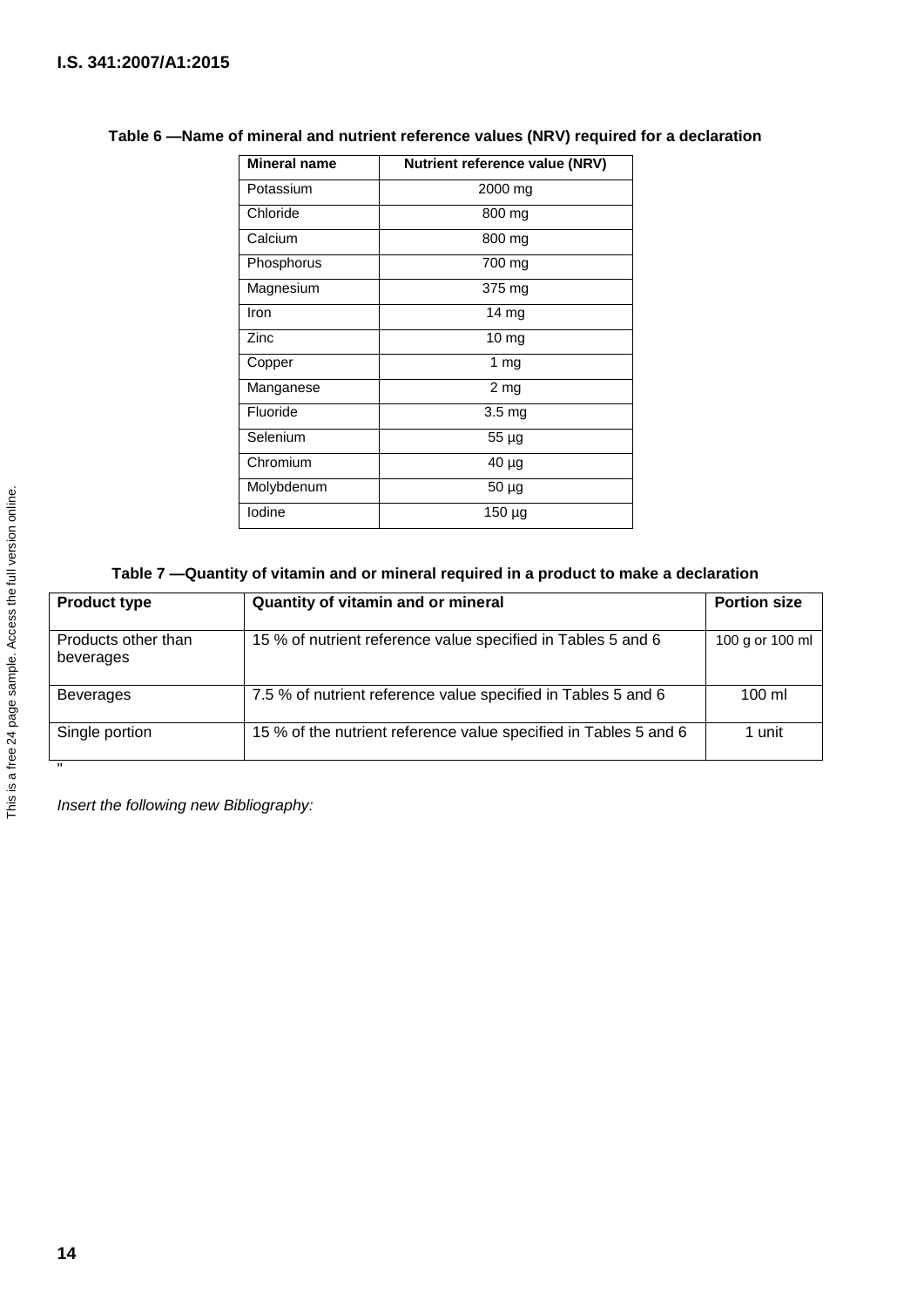| Mineral name | Nutrient reference value (NRV) |
|--------------|--------------------------------|
| Potassium    | 2000 mg                        |
| Chloride     | 800 mg                         |
| Calcium      | 800 mg                         |
| Phosphorus   | 700 mg                         |
| Magnesium    | 375 mg                         |
| Iron         | 14 mg                          |
| Zinc         | $10 \text{ mg}$                |
| Copper       | 1 $mg$                         |
| Manganese    | 2 <sub>mg</sub>                |
| Fluoride     | 3.5 mg                         |
| Selenium     | 55 µg                          |
| Chromium     | 40 µg                          |
| Molybdenum   | 50 µg                          |
| lodine       | 150 µg                         |

### **Table 6 —Name of mineral and nutrient reference values (NRV) required for a declaration**

### **Table 7 —Quantity of vitamin and or mineral required in a product to make a declaration**

| <b>Product type</b>              | Quantity of vitamin and or mineral                               | <b>Portion size</b> |
|----------------------------------|------------------------------------------------------------------|---------------------|
| Products other than<br>beverages | 15 % of nutrient reference value specified in Tables 5 and 6     | 100 g or 100 ml     |
| <b>Beverages</b>                 | 7.5 % of nutrient reference value specified in Tables 5 and 6    | $100 \mathrm{m}$    |
| Single portion                   | 15 % of the nutrient reference value specified in Tables 5 and 6 | 1 unit              |

*Insert the following new Bibliography:*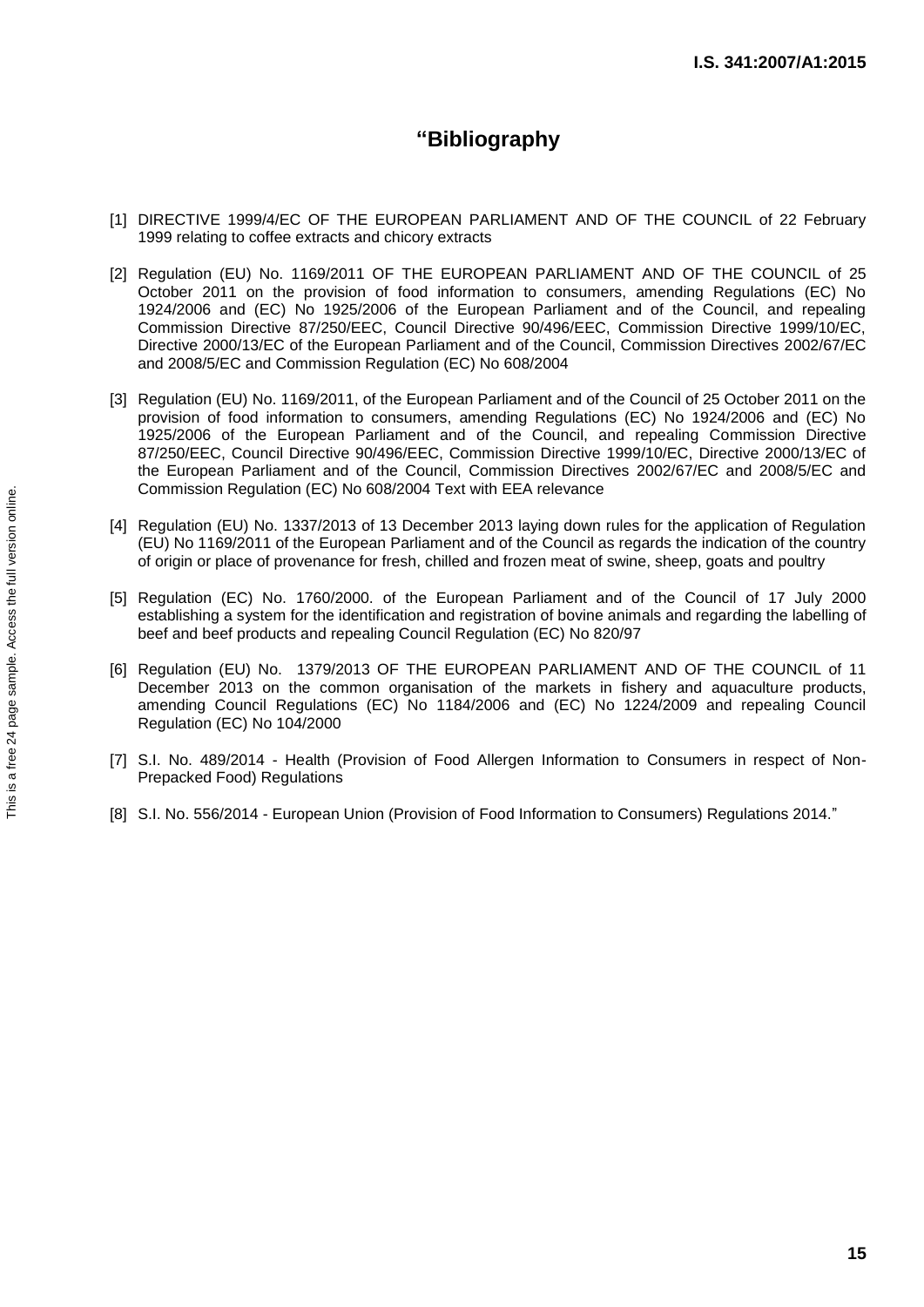# **"Bibliography**

- [1] DIRECTIVE 1999/4/EC OF THE EUROPEAN PARLIAMENT AND OF THE COUNCIL of 22 February 1999 relating to coffee extracts and chicory extracts
- [2] Regulation (EU) No. 1169/2011 OF THE EUROPEAN PARLIAMENT AND OF THE COUNCIL of 25 October 2011 on the provision of food information to consumers, amending Regulations (EC) No 1924/2006 and (EC) No 1925/2006 of the European Parliament and of the Council, and repealing Commission Directive 87/250/EEC, Council Directive 90/496/EEC, Commission Directive 1999/10/EC, Directive 2000/13/EC of the European Parliament and of the Council, Commission Directives 2002/67/EC and 2008/5/EC and Commission Regulation (EC) No 608/2004
- [3] Regulation (EU) No. 1169/2011, of the European Parliament and of the Council of 25 October 2011 on the provision of food information to consumers, amending Regulations (EC) No 1924/2006 and (EC) No 1925/2006 of the European Parliament and of the Council, and repealing Commission Directive 87/250/EEC, Council Directive 90/496/EEC, Commission Directive 1999/10/EC, Directive 2000/13/EC of the European Parliament and of the Council, Commission Directives 2002/67/EC and 2008/5/EC and Commission Regulation (EC) No 608/2004 Text with EEA relevance
- [4] Regulation (EU) No. 1337/2013 of 13 December 2013 laying down rules for the application of Regulation (EU) No 1169/2011 of the European Parliament and of the Council as regards the indication of the country of origin or place of provenance for fresh, chilled and frozen meat of swine, sheep, goats and poultry
- [5] Regulation (EC) No. 1760/2000. of the European Parliament and of the Council of 17 July 2000 establishing a system for the identification and registration of bovine animals and regarding the labelling of beef and beef products and repealing Council Regulation (EC) No 820/97
- [6] Regulation (EU) No. 1379/2013 OF THE EUROPEAN PARLIAMENT AND OF THE COUNCIL of 11 December 2013 on the common organisation of the markets in fishery and aquaculture products, amending Council Regulations (EC) No 1184/2006 and (EC) No 1224/2009 and repealing Council Regulation (EC) No 104/2000
- [7] S.I. No. 489/2014 Health (Provision of Food Allergen Information to Consumers in respect of Non-Prepacked Food) Regulations
- [8] S.I. No. 556/2014 European Union (Provision of Food Information to Consumers) Regulations 2014."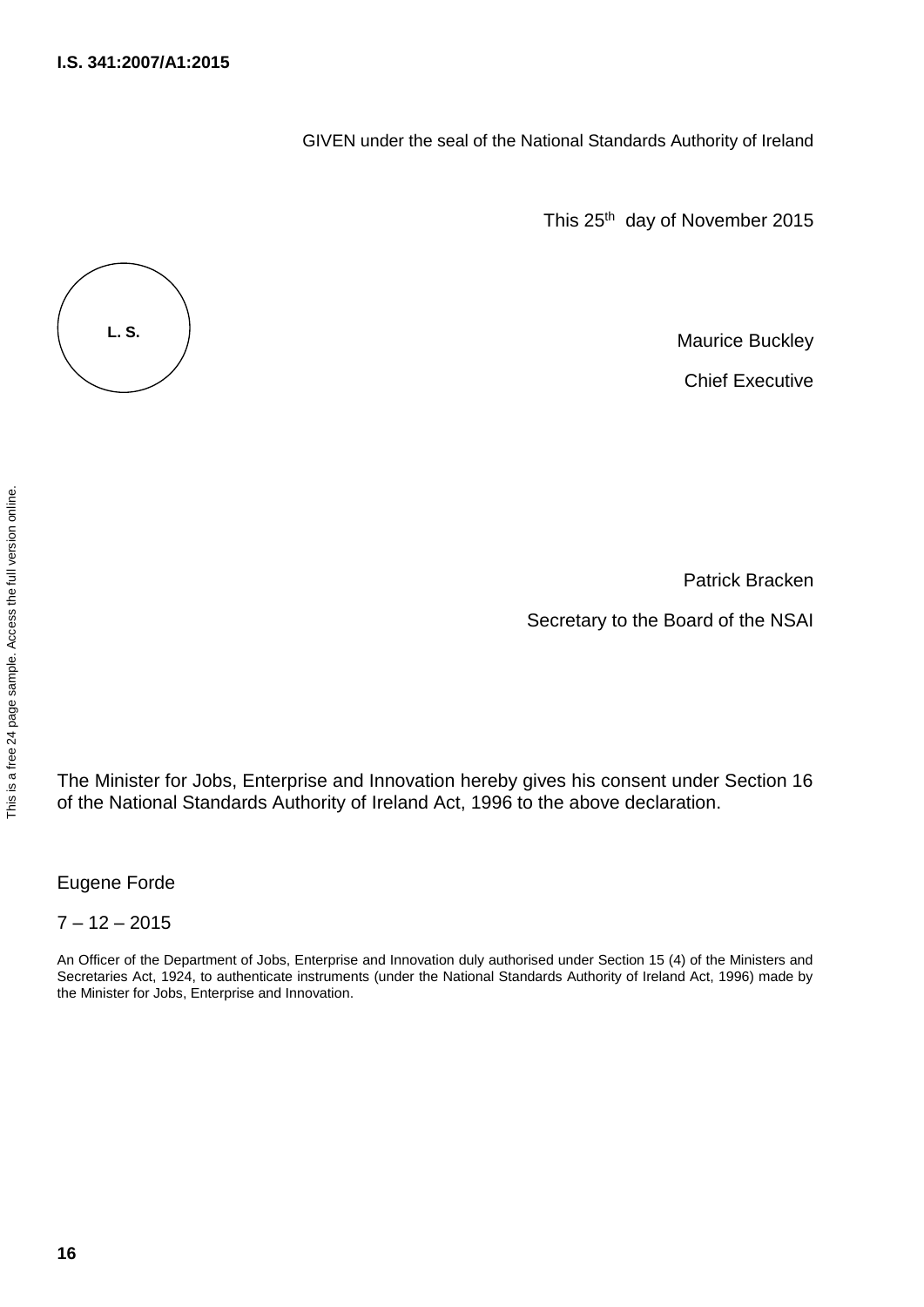GIVEN under the seal of the National Standards Authority of Ireland

This 25<sup>th</sup> day of November 2015

Maurice Buckley

Chief Executive

Patrick Bracken

Secretary to the Board of the NSAI

The Minister for Jobs, Enterprise and Innovation hereby gives his consent under Section 16 of the National Standards Authority of Ireland Act, 1996 to the above declaration.

Eugene Forde

 $7 - 12 - 2015$ 

An Officer of the Department of Jobs, Enterprise and Innovation duly authorised under Section 15 (4) of the Ministers and Secretaries Act, 1924, to authenticate instruments (under the National Standards Authority of Ireland Act, 1996) made by the Minister for Jobs, Enterprise and Innovation.



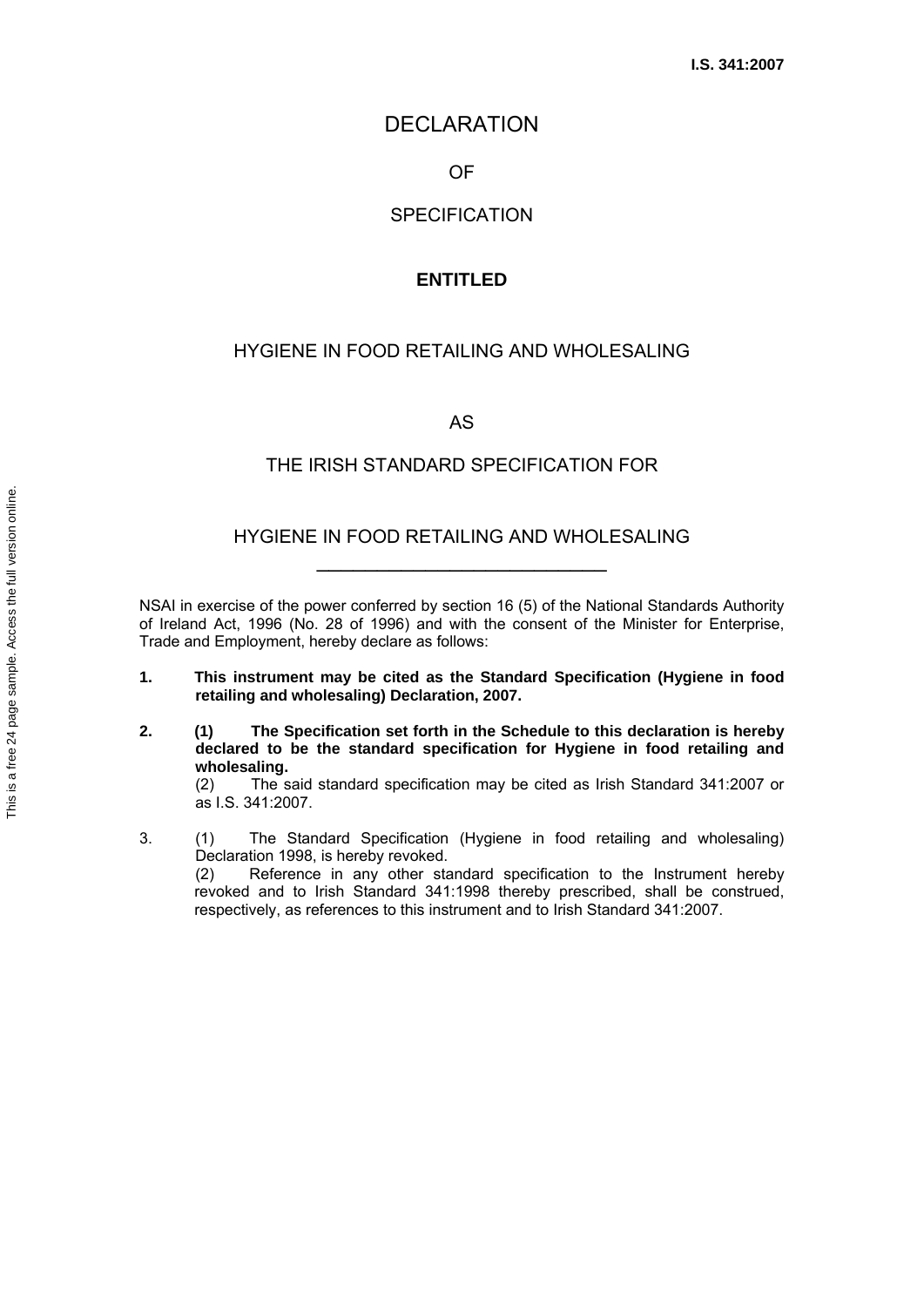### DECLARATION

OF

### **SPECIFICATION**

### **ENTITLED**

#### HYGIENE IN FOOD RETAILING AND WHOLESALING

AS

#### THE IRISH STANDARD SPECIFICATION FOR

## HYGIENE IN FOOD RETAILING AND WHOLESALING \_\_\_\_\_\_\_\_\_\_\_\_\_\_\_\_\_\_\_\_\_\_\_\_

NSAI in exercise of the power conferred by section 16 (5) of the National Standards Authority of Ireland Act, 1996 (No. 28 of 1996) and with the consent of the Minister for Enterprise, Trade and Employment, hereby declare as follows:

- **1. This instrument may be cited as the Standard Specification (Hygiene in food retailing and wholesaling) Declaration, 2007.**
- **2. (1) The Specification set forth in the Schedule to this declaration is hereby declared to be the standard specification for Hygiene in food retailing and wholesaling.**

 (2) The said standard specification may be cited as Irish Standard 341:2007 or as I.S. 341:2007.

3. (1) The Standard Specification (Hygiene in food retailing and wholesaling) Declaration 1998, is hereby revoked.

(2) Reference in any other standard specification to the Instrument hereby revoked and to Irish Standard 341:1998 thereby prescribed, shall be construed, respectively, as references to this instrument and to Irish Standard 341:2007.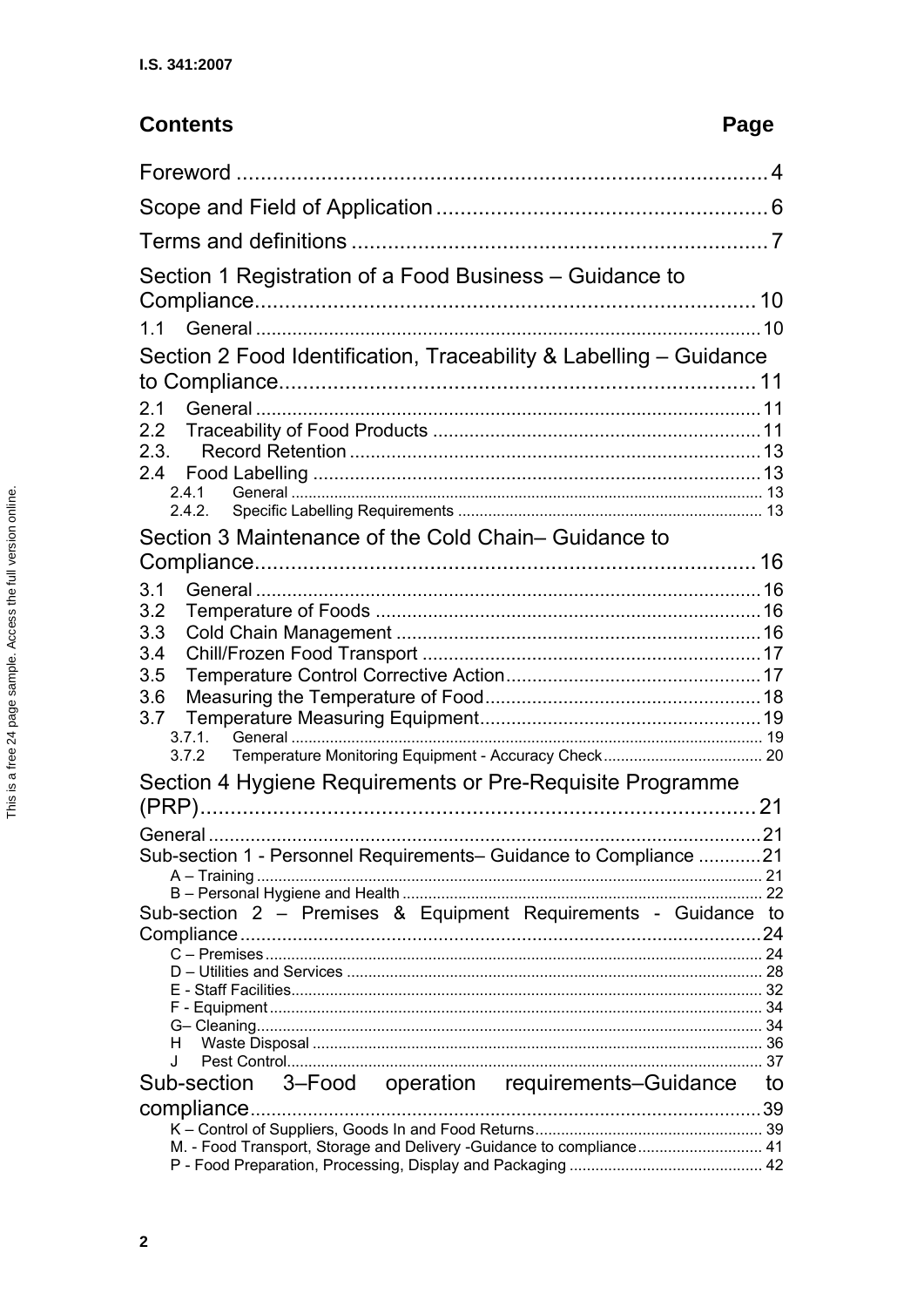# **Contents**

# Page

| Section 1 Registration of a Food Business - Guidance to              |    |
|----------------------------------------------------------------------|----|
|                                                                      |    |
| 1.1                                                                  |    |
| Section 2 Food Identification, Traceability & Labelling – Guidance   |    |
|                                                                      |    |
| 2.1                                                                  |    |
| 2.2                                                                  |    |
| 2.3.                                                                 |    |
| 2.4                                                                  |    |
| 2.4.1                                                                |    |
| 2.4.2.                                                               |    |
| Section 3 Maintenance of the Cold Chain-Guidance to                  |    |
|                                                                      |    |
| 3.1                                                                  |    |
| 3.2                                                                  |    |
| 3.3                                                                  |    |
| 3.4                                                                  |    |
| 3.5                                                                  |    |
| 3.6                                                                  |    |
| 3.7                                                                  |    |
| 3.7.1.<br>3.7.2                                                      |    |
|                                                                      |    |
| Section 4 Hygiene Requirements or Pre-Requisite Programme            |    |
|                                                                      |    |
|                                                                      |    |
| Sub-section 1 - Personnel Requirements- Guidance to Compliance 21    |    |
|                                                                      |    |
| Sub-section 2 - Premises & Equipment Requirements - Guidance         | to |
|                                                                      | 24 |
|                                                                      |    |
|                                                                      |    |
|                                                                      |    |
|                                                                      |    |
| н<br>Π.                                                              |    |
| 3-Food operation requirements-Guidance<br>Sub-section                | to |
|                                                                      |    |
| compliance                                                           | 39 |
| M. - Food Transport, Storage and Delivery -Guidance to compliance 41 |    |
|                                                                      |    |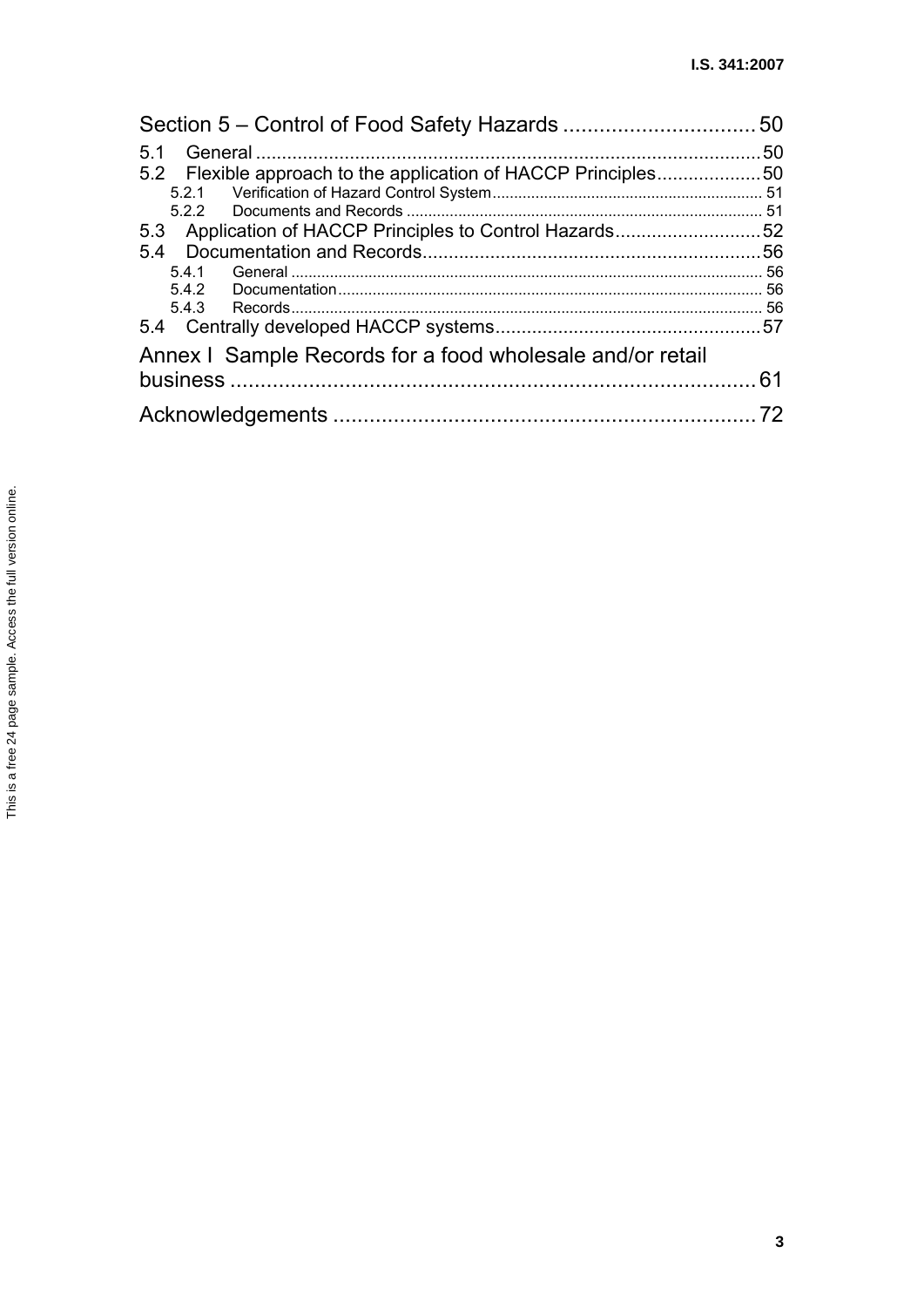| 5.1                                                            |    |
|----------------------------------------------------------------|----|
| 5.2 Flexible approach to the application of HACCP Principles50 |    |
|                                                                |    |
|                                                                |    |
| 5.3 Application of HACCP Principles to Control Hazards52       |    |
|                                                                |    |
| 5.4.1                                                          |    |
|                                                                |    |
|                                                                |    |
|                                                                |    |
| Annex I Sample Records for a food wholesale and/or retail      |    |
|                                                                | 61 |
|                                                                |    |
|                                                                |    |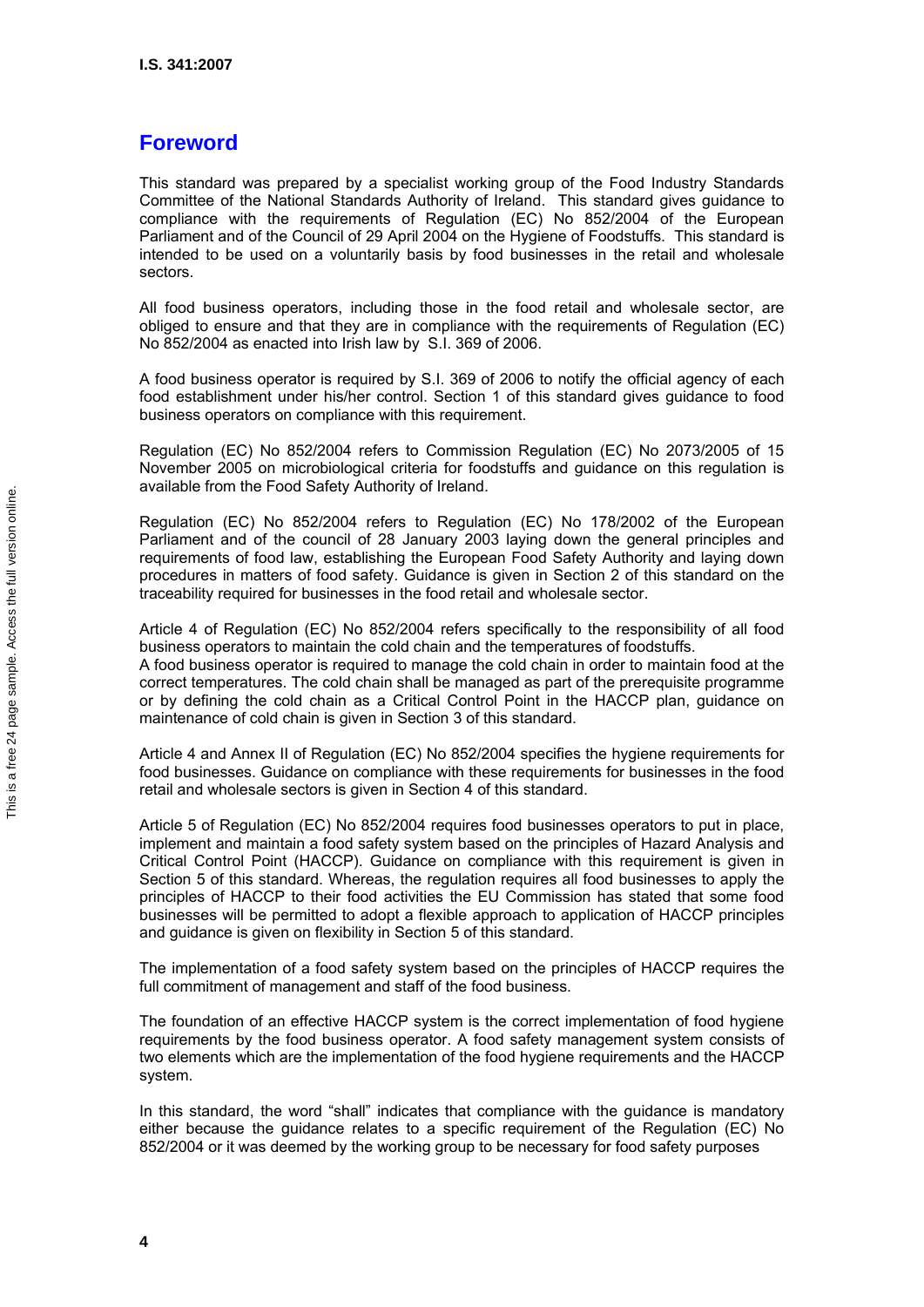# **Foreword**

This standard was prepared by a specialist working group of the Food Industry Standards Committee of the National Standards Authority of Ireland. This standard gives guidance to compliance with the requirements of Regulation (EC) No 852/2004 of the European Parliament and of the Council of 29 April 2004 on the Hygiene of Foodstuffs. This standard is intended to be used on a voluntarily basis by food businesses in the retail and wholesale sectors.

All food business operators, including those in the food retail and wholesale sector, are obliged to ensure and that they are in compliance with the requirements of Regulation (EC) No 852/2004 as enacted into Irish law by S.I. 369 of 2006.

A food business operator is required by S.I. 369 of 2006 to notify the official agency of each food establishment under his/her control. Section 1 of this standard gives guidance to food business operators on compliance with this requirement.

Regulation (EC) No 852/2004 refers to Commission Regulation (EC) No 2073/2005 of 15 November 2005 on microbiological criteria for foodstuffs and guidance on this regulation is available from the Food Safety Authority of Ireland.

Regulation (EC) No 852/2004 refers to Regulation (EC) No 178/2002 of the European Parliament and of the council of 28 January 2003 laying down the general principles and requirements of food law, establishing the European Food Safety Authority and laying down procedures in matters of food safety. Guidance is given in Section 2 of this standard on the traceability required for businesses in the food retail and wholesale sector.

Article 4 of Regulation (EC) No 852/2004 refers specifically to the responsibility of all food business operators to maintain the cold chain and the temperatures of foodstuffs. A food business operator is required to manage the cold chain in order to maintain food at the correct temperatures. The cold chain shall be managed as part of the prerequisite programme or by defining the cold chain as a Critical Control Point in the HACCP plan, guidance on maintenance of cold chain is given in Section 3 of this standard.

Article 4 and Annex II of Regulation (EC) No 852/2004 specifies the hygiene requirements for food businesses. Guidance on compliance with these requirements for businesses in the food retail and wholesale sectors is given in Section 4 of this standard.

Article 5 of Regulation (EC) No 852/2004 requires food businesses operators to put in place, implement and maintain a food safety system based on the principles of Hazard Analysis and Critical Control Point (HACCP). Guidance on compliance with this requirement is given in Section 5 of this standard. Whereas, the regulation requires all food businesses to apply the principles of HACCP to their food activities the EU Commission has stated that some food businesses will be permitted to adopt a flexible approach to application of HACCP principles and guidance is given on flexibility in Section 5 of this standard.

The implementation of a food safety system based on the principles of HACCP requires the full commitment of management and staff of the food business.

The foundation of an effective HACCP system is the correct implementation of food hygiene requirements by the food business operator. A food safety management system consists of two elements which are the implementation of the food hygiene requirements and the HACCP system.

In this standard, the word "shall" indicates that compliance with the guidance is mandatory either because the guidance relates to a specific requirement of the Regulation (EC) No 852/2004 or it was deemed by the working group to be necessary for food safety purposes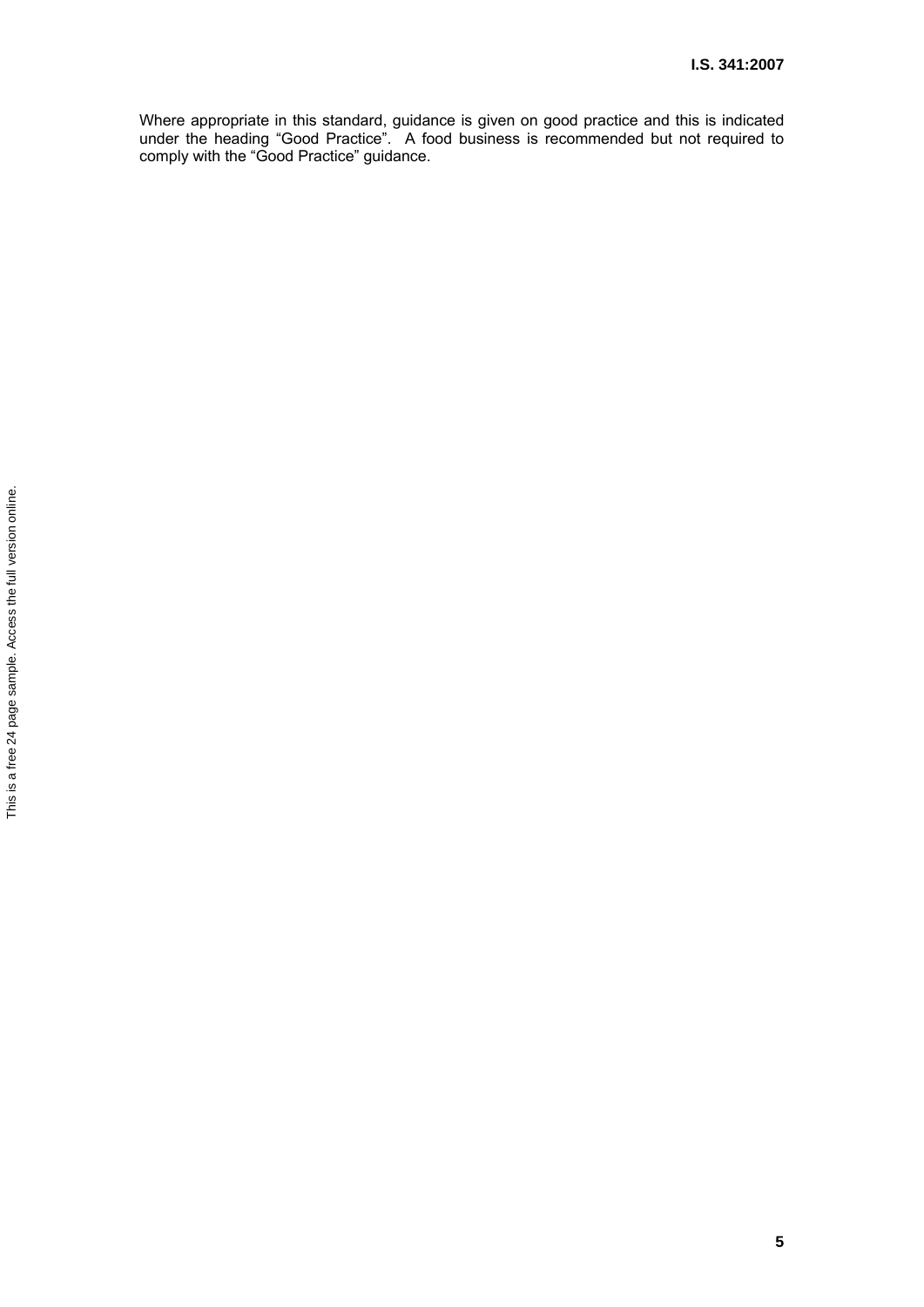Where appropriate in this standard, guidance is given on good practice and this is indicated under the heading "Good Practice". A food business is recommended but not required to comply with the "Good Practice" guidance.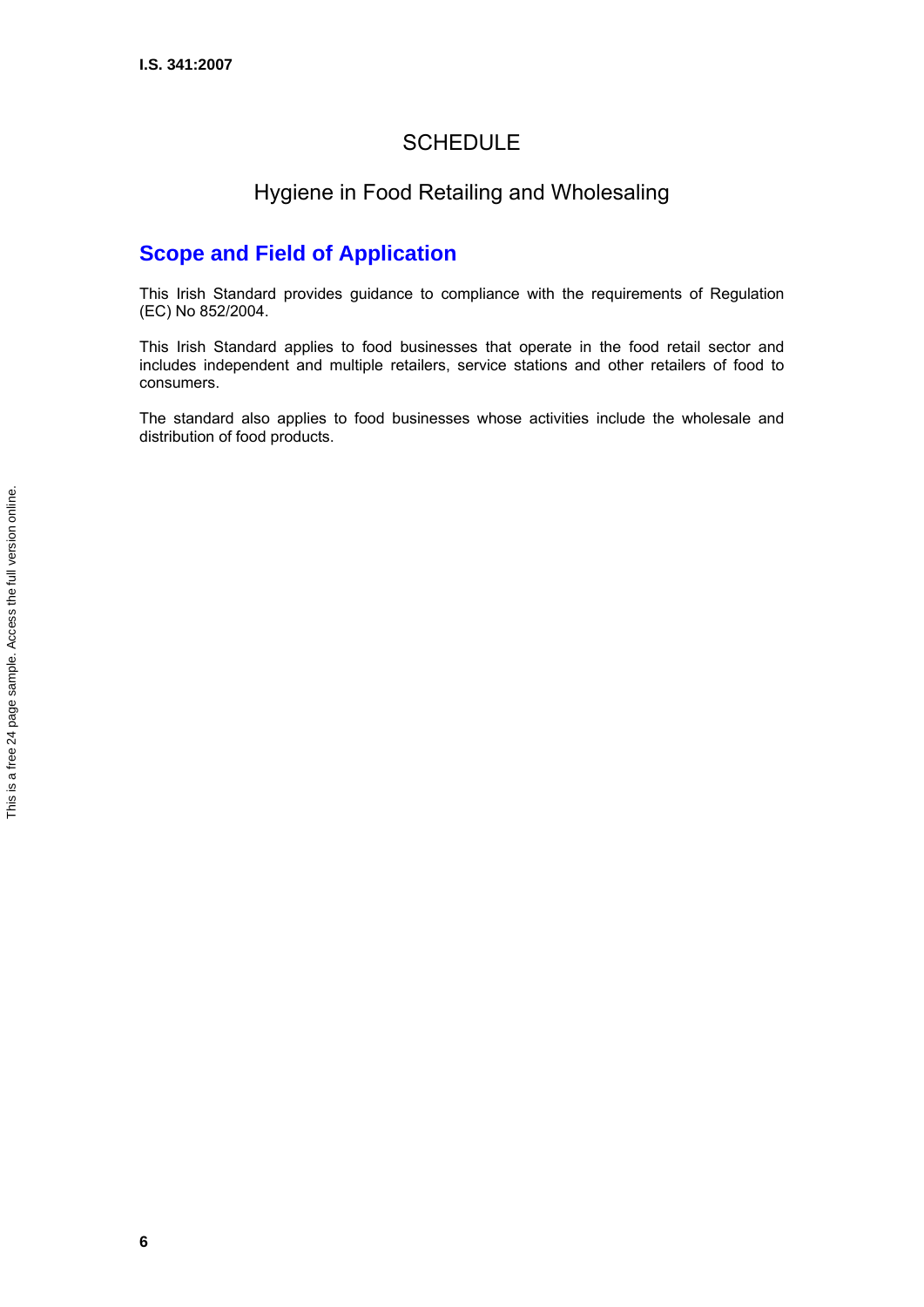# **SCHEDULE**

# Hygiene in Food Retailing and Wholesaling

# **Scope and Field of Application**

This Irish Standard provides guidance to compliance with the requirements of Regulation (EC) No 852/2004.

This Irish Standard applies to food businesses that operate in the food retail sector and includes independent and multiple retailers, service stations and other retailers of food to consumers.

The standard also applies to food businesses whose activities include the wholesale and distribution of food products.